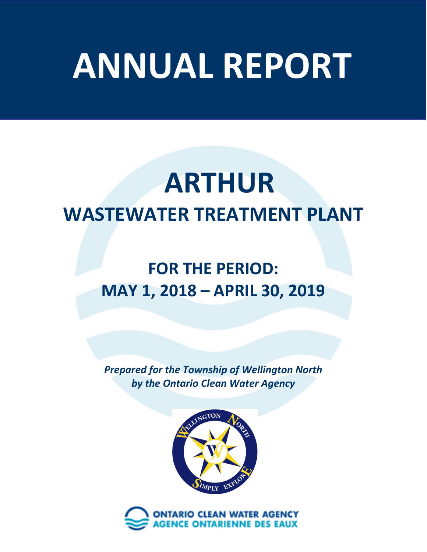# **ANNUAL REPORT**

# **ARTHUR WASTEWATER TREATMENT PLANT**

# **FOR THE PERIOD: MAY 1, 2018 – APRIL 30, 2019**

*Prepared for the Township of Wellington North by the Ontario Clean Water Agency*



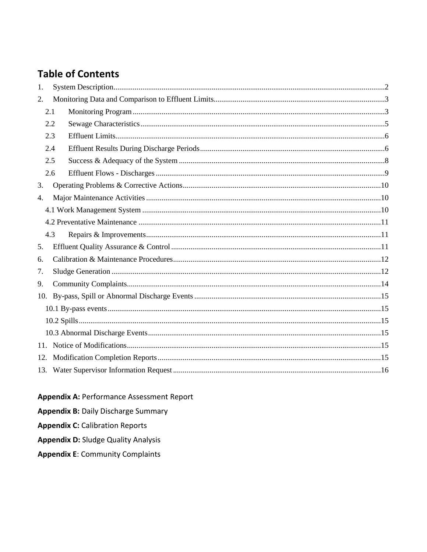#### **Table of Contents**

| 1.  |     |  |  |  |
|-----|-----|--|--|--|
| 2.  |     |  |  |  |
|     | 2.1 |  |  |  |
|     | 2.2 |  |  |  |
|     | 2.3 |  |  |  |
|     | 2.4 |  |  |  |
|     | 2.5 |  |  |  |
|     | 2.6 |  |  |  |
| 3.  |     |  |  |  |
| 4.  |     |  |  |  |
|     |     |  |  |  |
|     |     |  |  |  |
|     | 4.3 |  |  |  |
| 5.  |     |  |  |  |
| 6.  |     |  |  |  |
| 7.  |     |  |  |  |
| 9.  |     |  |  |  |
|     |     |  |  |  |
|     |     |  |  |  |
|     |     |  |  |  |
|     |     |  |  |  |
|     |     |  |  |  |
| 12. |     |  |  |  |
|     |     |  |  |  |

**Appendix A: Performance Assessment Report** 

**Appendix B: Daily Discharge Summary** 

**Appendix C: Calibration Reports** 

**Appendix D: Sludge Quality Analysis** 

**Appendix E: Community Complaints**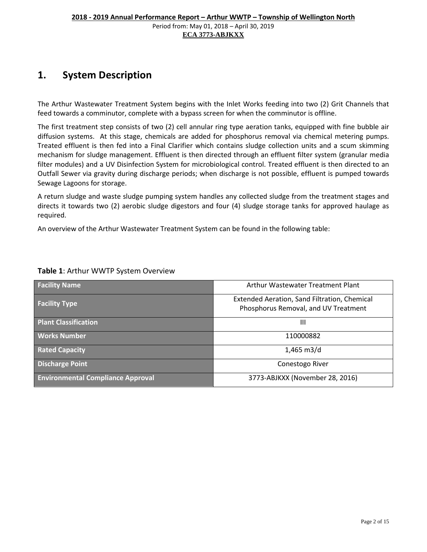#### **1. System Description**

The Arthur Wastewater Treatment System begins with the Inlet Works feeding into two (2) Grit Channels that feed towards a comminutor, complete with a bypass screen for when the comminutor is offline.

The first treatment step consists of two (2) cell annular ring type aeration tanks, equipped with fine bubble air diffusion systems. At this stage, chemicals are added for phosphorus removal via chemical metering pumps. Treated effluent is then fed into a Final Clarifier which contains sludge collection units and a scum skimming mechanism for sludge management. Effluent is then directed through an effluent filter system (granular media filter modules) and a UV Disinfection System for microbiological control. Treated effluent is then directed to an Outfall Sewer via gravity during discharge periods; when discharge is not possible, effluent is pumped towards Sewage Lagoons for storage.

A return sludge and waste sludge pumping system handles any collected sludge from the treatment stages and directs it towards two (2) aerobic sludge digestors and four (4) sludge storage tanks for approved haulage as required.

An overview of the Arthur Wastewater Treatment System can be found in the following table:

| <b>Facility Name</b>                     | Arthur Wastewater Treatment Plant                                                    |  |  |
|------------------------------------------|--------------------------------------------------------------------------------------|--|--|
| <b>Facility Type</b>                     | Extended Aeration, Sand Filtration, Chemical<br>Phosphorus Removal, and UV Treatment |  |  |
| <b>Plant Classification</b>              | Ш                                                                                    |  |  |
| <b>Works Number</b>                      | 110000882                                                                            |  |  |
| <b>Rated Capacity</b>                    | $1,465 \text{ m}$ 3/d                                                                |  |  |
| <b>Discharge Point</b>                   | Conestogo River                                                                      |  |  |
| <b>Environmental Compliance Approval</b> | 3773-ABJKXX (November 28, 2016)                                                      |  |  |

#### **Table 1**: Arthur WWTP System Overview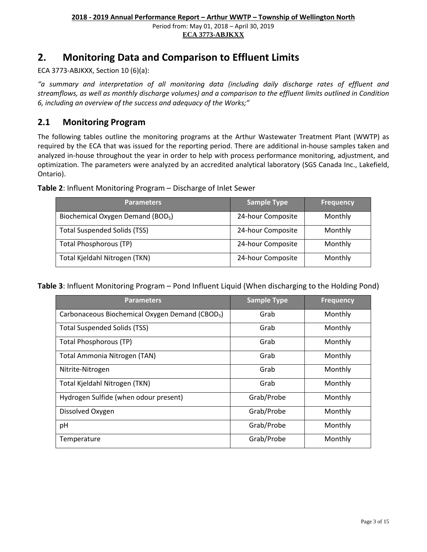**ECA 3773-ABJKXX** 

#### <span id="page-3-0"></span>**2. Monitoring Data and Comparison to Effluent Limits**

ECA 3773-ABJKXX, Section 10 (6)(a):

*"a summary and interpretation of all monitoring data (including daily discharge rates of effluent and streamflows, as well as monthly discharge volumes) and a comparison to the effluent limits outlined in Condition 6, including an overview of the success and adequacy of the Works;"*

#### <span id="page-3-1"></span>**2.1 Monitoring Program**

The following tables outline the monitoring programs at the Arthur Wastewater Treatment Plant (WWTP) as required by the ECA that was issued for the reporting period. There are additional in-house samples taken and analyzed in-house throughout the year in order to help with process performance monitoring, adjustment, and optimization. The parameters were analyzed by an accredited analytical laboratory (SGS Canada Inc., Lakefield, Ontario).

**Table 2**: Influent Monitoring Program – Discharge of Inlet Sewer

| <b>Parameters</b>                             | Sample Type       | <b>Frequency</b> |
|-----------------------------------------------|-------------------|------------------|
| Biochemical Oxygen Demand (BOD <sub>5</sub> ) | 24-hour Composite | Monthly          |
| <b>Total Suspended Solids (TSS)</b>           | 24-hour Composite | Monthly          |
| <b>Total Phosphorous (TP)</b>                 | 24-hour Composite | Monthly          |
| Total Kjeldahl Nitrogen (TKN)                 | 24-hour Composite | Monthly          |

**Table 3**: Influent Monitoring Program – Pond Influent Liquid (When discharging to the Holding Pond)

| <b>Parameters</b>                                           | <b>Sample Type</b> | <b>Frequency</b> |
|-------------------------------------------------------------|--------------------|------------------|
| Carbonaceous Biochemical Oxygen Demand (CBOD <sub>5</sub> ) | Grab               | Monthly          |
| <b>Total Suspended Solids (TSS)</b>                         | Grab               | Monthly          |
| <b>Total Phosphorous (TP)</b>                               | Grab               | Monthly          |
| Total Ammonia Nitrogen (TAN)                                | Grab               | Monthly          |
| Nitrite-Nitrogen                                            | Grab               | Monthly          |
| Total Kjeldahl Nitrogen (TKN)                               | Grab               | Monthly          |
| Hydrogen Sulfide (when odour present)                       | Grab/Probe         | Monthly          |
| Dissolved Oxygen                                            | Grab/Probe         | Monthly          |
| pH                                                          | Grab/Probe         | Monthly          |
| Temperature                                                 | Grab/Probe         | Monthly          |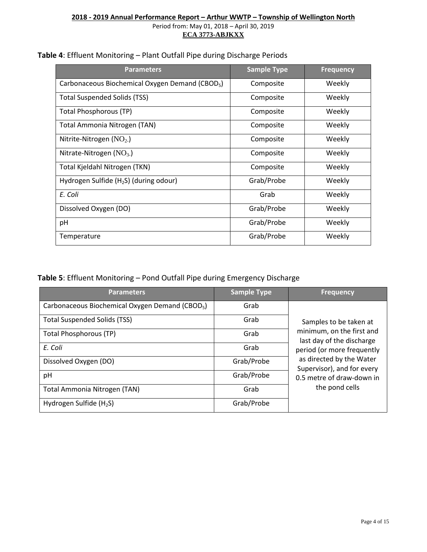| <b>Parameters</b>                                           | <b>Sample Type</b> | <b>Frequency</b> |
|-------------------------------------------------------------|--------------------|------------------|
| Carbonaceous Biochemical Oxygen Demand (CBOD <sub>5</sub> ) | Composite          | Weekly           |
| <b>Total Suspended Solids (TSS)</b>                         | Composite          | Weekly           |
| Total Phosphorous (TP)                                      | Composite          | Weekly           |
| Total Ammonia Nitrogen (TAN)                                | Composite          | Weekly           |
| Nitrite-Nitrogen $(NO2)$                                    | Composite          | Weekly           |
| Nitrate-Nitrogen $(NO3)$                                    | Composite          | Weekly           |
| Total Kjeldahl Nitrogen (TKN)                               | Composite          | Weekly           |
| Hydrogen Sulfide $(H_2S)$ (during odour)                    | Grab/Probe         | Weekly           |
| E. Coli                                                     | Grab               | Weekly           |
| Dissolved Oxygen (DO)                                       | Grab/Probe         | Weekly           |
| pH                                                          | Grab/Probe         | Weekly           |
| Temperature                                                 | Grab/Probe         | Weekly           |

#### **Table 4**: Effluent Monitoring – Plant Outfall Pipe during Discharge Periods

#### **Table 5**: Effluent Monitoring – Pond Outfall Pipe during Emergency Discharge

| <b>Parameters</b>                                           | <b>Sample Type</b> | <b>Frequency</b>                                       |
|-------------------------------------------------------------|--------------------|--------------------------------------------------------|
| Carbonaceous Biochemical Oxygen Demand (CBOD <sub>5</sub> ) | Grab               |                                                        |
| <b>Total Suspended Solids (TSS)</b>                         | Grab               | Samples to be taken at                                 |
| <b>Total Phosphorous (TP)</b>                               | Grab               | minimum, on the first and<br>last day of the discharge |
| E. Coli                                                     | Grab               | period (or more frequently                             |
| Dissolved Oxygen (DO)                                       | Grab/Probe         | as directed by the Water<br>Supervisor), and for every |
| pH                                                          | Grab/Probe         | 0.5 metre of draw-down in                              |
| Total Ammonia Nitrogen (TAN)                                | Grab               | the pond cells                                         |
| Hydrogen Sulfide $(H_2S)$                                   | Grab/Probe         |                                                        |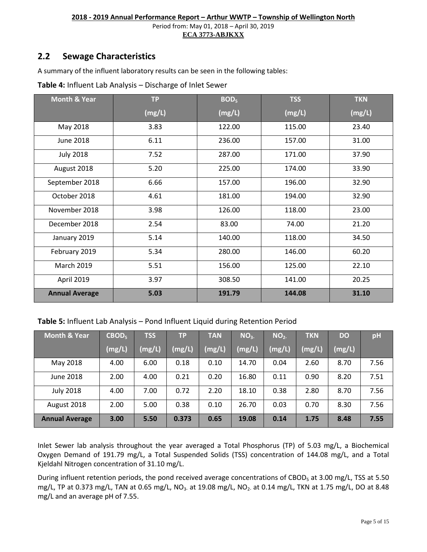#### <span id="page-5-0"></span>**2.2 Sewage Characteristics**

A summary of the influent laboratory results can be seen in the following tables:

| <b>Month &amp; Year</b> | <b>TP</b> | BOD <sub>5</sub> | <b>TSS</b> | <b>TKN</b> |
|-------------------------|-----------|------------------|------------|------------|
|                         | (mg/L)    | (mg/L)           | (mg/L)     | (mg/L)     |
| May 2018                | 3.83      | 122.00           | 115.00     | 23.40      |
| June 2018               | 6.11      | 236.00           | 157.00     | 31.00      |
| <b>July 2018</b>        | 7.52      | 287.00           | 171.00     | 37.90      |
| August 2018             | 5.20      | 225.00           | 174.00     | 33.90      |
| September 2018          | 6.66      | 157.00           | 196.00     | 32.90      |
| October 2018            | 4.61      | 181.00           | 194.00     | 32.90      |
| November 2018           | 3.98      | 126.00           | 118.00     | 23.00      |
| December 2018           | 2.54      | 83.00            | 74.00      | 21.20      |
| January 2019            | 5.14      | 140.00           | 118.00     | 34.50      |
| February 2019           | 5.34      | 280.00           | 146.00     | 60.20      |
| <b>March 2019</b>       | 5.51      | 156.00           | 125.00     | 22.10      |
| April 2019              | 3.97      | 308.50           | 141.00     | 20.25      |
| <b>Annual Average</b>   | 5.03      | 191.79           | 144.08     | 31.10      |

**Table 4:** Influent Lab Analysis – Discharge of Inlet Sewer

#### **Table 5:** Influent Lab Analysis – Pond Influent Liquid during Retention Period

| <b>Month &amp; Year</b> | CBOD <sub>5</sub> | <b>TSS</b> | <b>TP</b> | <b>TAN</b> | NO <sub>3</sub> | NO <sub>2</sub> | <b>TKN</b> | <b>DO</b> | pH   |
|-------------------------|-------------------|------------|-----------|------------|-----------------|-----------------|------------|-----------|------|
|                         | (mg/L)            | (mg/L)     | (mg/L)    | (mg/L)     | (mg/L)          | (mg/L)          | (mg/L)     | (mg/L)    |      |
| May 2018                | 4.00              | 6.00       | 0.18      | 0.10       | 14.70           | 0.04            | 2.60       | 8.70      | 7.56 |
| June 2018               | 2.00              | 4.00       | 0.21      | 0.20       | 16.80           | 0.11            | 0.90       | 8.20      | 7.51 |
| <b>July 2018</b>        | 4.00              | 7.00       | 0.72      | 2.20       | 18.10           | 0.38            | 2.80       | 8.70      | 7.56 |
| August 2018             | 2.00              | 5.00       | 0.38      | 0.10       | 26.70           | 0.03            | 0.70       | 8.30      | 7.56 |
| <b>Annual Average</b>   | 3.00              | 5.50       | 0.373     | 0.65       | 19.08           | 0.14            | 1.75       | 8.48      | 7.55 |

Inlet Sewer lab analysis throughout the year averaged a Total Phosphorus (TP) of 5.03 mg/L, a Biochemical Oxygen Demand of 191.79 mg/L, a Total Suspended Solids (TSS) concentration of 144.08 mg/L, and a Total Kjeldahl Nitrogen concentration of 31.10 mg/L.

During influent retention periods, the pond received average concentrations of CBOD<sub>5</sub> at 3.00 mg/L, TSS at 5.50 mg/L, TP at 0.373 mg/L, TAN at 0.65 mg/L, NO<sub>3</sub>. at 19.08 mg/L, NO<sub>2</sub>. at 0.14 mg/L, TKN at 1.75 mg/L, DO at 8.48 mg/L and an average pH of 7.55.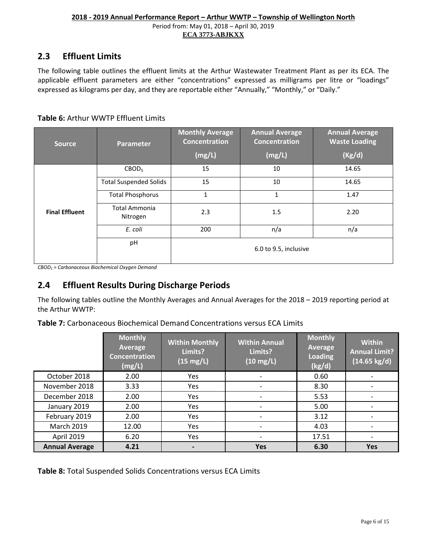#### <span id="page-6-0"></span>**2.3 Effluent Limits**

The following table outlines the effluent limits at the Arthur Wastewater Treatment Plant as per its ECA. The applicable effluent parameters are either "concentrations" expressed as milligrams per litre or "loadings" expressed as kilograms per day, and they are reportable either "Annually," "Monthly," or "Daily."

#### **Table 6:** Arthur WWTP Effluent Limits

| <b>Source</b>         | <b>Parameter</b>                 | <b>Monthly Average</b><br><b>Concentration</b> | <b>Annual Average</b><br><b>Concentration</b> | <b>Annual Average</b><br><b>Waste Loading</b> |
|-----------------------|----------------------------------|------------------------------------------------|-----------------------------------------------|-----------------------------------------------|
|                       |                                  | (mg/L)                                         | (mg/L)                                        | (Kg/d)                                        |
|                       | CBOD <sub>5</sub>                | 15                                             | 10                                            | 14.65                                         |
|                       | <b>Total Suspended Solids</b>    | 15                                             | 10                                            | 14.65                                         |
|                       | <b>Total Phosphorus</b>          | $\mathbf{1}$                                   | 1                                             | 1.47                                          |
| <b>Final Effluent</b> | <b>Total Ammonia</b><br>Nitrogen | 2.3                                            | 1.5                                           | 2.20                                          |
|                       | E. coli                          | 200                                            | n/a                                           | n/a                                           |
|                       | pH                               |                                                | 6.0 to 9.5, inclusive                         |                                               |

*CBOD5 = Carbonaceous Biochemical Oxygen Demand*

#### <span id="page-6-1"></span>**2.4 Effluent Results During Discharge Periods**

The following tables outline the Monthly Averages and Annual Averages for the 2018 – 2019 reporting period at the Arthur WWTP:

**Table 7:** Carbonaceous Biochemical Demand Concentrations versus ECA Limits

|                       | <b>Monthly</b><br>Average<br><b>Concentration</b><br>(mg/L) | <b>Within Monthly</b><br>Limits?<br>$(15 \text{ mg/L})$ | <b>Within Annual</b><br>Limits?<br>$(10 \text{ mg/L})$ | <b>Monthly</b><br>Average<br>Loading<br>(kg/d) | <b>Within</b><br><b>Annual Limit?</b><br>$(14.65 \text{ kg/d})$ |
|-----------------------|-------------------------------------------------------------|---------------------------------------------------------|--------------------------------------------------------|------------------------------------------------|-----------------------------------------------------------------|
| October 2018          | 2.00                                                        | Yes                                                     |                                                        | 0.60                                           |                                                                 |
| November 2018         | 3.33                                                        | Yes                                                     |                                                        | 8.30                                           |                                                                 |
| December 2018         | 2.00                                                        | Yes                                                     |                                                        | 5.53                                           |                                                                 |
| January 2019          | 2.00                                                        | Yes                                                     |                                                        | 5.00                                           |                                                                 |
| February 2019         | 2.00                                                        | Yes                                                     |                                                        | 3.12                                           |                                                                 |
| <b>March 2019</b>     | 12.00                                                       | Yes                                                     | $\qquad \qquad$                                        | 4.03                                           |                                                                 |
| April 2019            | 6.20                                                        | Yes                                                     |                                                        | 17.51                                          | $\overline{\phantom{a}}$                                        |
| <b>Annual Average</b> | 4.21                                                        |                                                         | <b>Yes</b>                                             | 6.30                                           | <b>Yes</b>                                                      |

**Table 8:** Total Suspended Solids Concentrations versus ECA Limits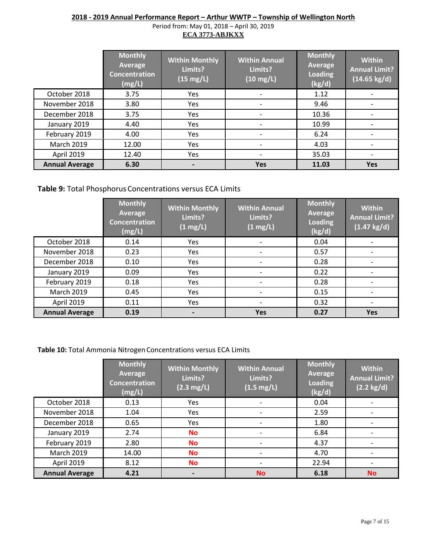#### **2018 - 2019 Annual Performance Report – Arthur WWTP – Township of Wellington North**

Period from: May 01, 2018 – April 30, 2019 **ECA 3773-ABJKXX** 

|                       | <b>Monthly</b><br>Average<br><b>Concentration</b><br>(mg/L) | <b>Within Monthly</b><br>Limits?<br>$(15 \text{ mg/L})$ | <b>Within Annual</b><br>Limits?<br>$(10 \text{ mg/L})$ | <b>Monthly</b><br>Average<br><b>Loading</b><br>(kg/d) | <b>Within</b><br><b>Annual Limit?</b><br>$(14.65 \text{ kg/d})$ |
|-----------------------|-------------------------------------------------------------|---------------------------------------------------------|--------------------------------------------------------|-------------------------------------------------------|-----------------------------------------------------------------|
| October 2018          | 3.75                                                        | Yes                                                     | $\qquad \qquad \blacksquare$                           | 1.12                                                  |                                                                 |
| November 2018         | 3.80                                                        | Yes                                                     | $\qquad \qquad$                                        | 9.46                                                  |                                                                 |
| December 2018         | 3.75                                                        | Yes                                                     | $\qquad \qquad$                                        | 10.36                                                 |                                                                 |
| January 2019          | 4.40                                                        | Yes                                                     |                                                        | 10.99                                                 |                                                                 |
| February 2019         | 4.00                                                        | Yes                                                     |                                                        | 6.24                                                  |                                                                 |
| <b>March 2019</b>     | 12.00                                                       | Yes                                                     |                                                        | 4.03                                                  |                                                                 |
| April 2019            | 12.40                                                       | Yes                                                     | $\overline{\phantom{a}}$                               | 35.03                                                 |                                                                 |
| <b>Annual Average</b> | 6.30                                                        |                                                         | <b>Yes</b>                                             | 11.03                                                 | <b>Yes</b>                                                      |

#### **Table 9:** Total Phosphorus Concentrations versus ECA Limits

|                       | <b>Monthly</b><br>Average<br><b>Concentration</b><br>(mg/L) | <b>Within Monthly</b><br>Limits?<br>$(1 \text{ mg/L})$ | <b>Within Annual</b><br>Limits?<br>$(1 \text{ mg/L})$ | <b>Monthly</b><br>Average<br><b>Loading</b><br>(kg/d) | <b>Within</b><br>Annual Limit?<br>$(1.47 \text{ kg/d})$ |
|-----------------------|-------------------------------------------------------------|--------------------------------------------------------|-------------------------------------------------------|-------------------------------------------------------|---------------------------------------------------------|
| October 2018          | 0.14                                                        | Yes                                                    | $\overline{a}$                                        | 0.04                                                  |                                                         |
| November 2018         | 0.23                                                        | Yes                                                    |                                                       | 0.57                                                  |                                                         |
| December 2018         | 0.10                                                        | Yes                                                    |                                                       | 0.28                                                  |                                                         |
| January 2019          | 0.09                                                        | Yes                                                    |                                                       | 0.22                                                  |                                                         |
| February 2019         | 0.18                                                        | Yes                                                    |                                                       | 0.28                                                  |                                                         |
| <b>March 2019</b>     | 0.45                                                        | Yes                                                    |                                                       | 0.15                                                  |                                                         |
| April 2019            | 0.11                                                        | Yes                                                    | -                                                     | 0.32                                                  |                                                         |
| <b>Annual Average</b> | 0.19                                                        | $\blacksquare$                                         | <b>Yes</b>                                            | 0.27                                                  | <b>Yes</b>                                              |

#### **Table 10:** Total Ammonia Nitrogen Concentrations versus ECA Limits

|                       | <b>Monthly</b><br>Average<br><b>Concentration</b><br>(mg/L) | <b>Within Monthly</b><br>Limits?<br>$(2.3 \text{ mg/L})$ | <b>Within Annual</b><br>Limits?<br>$(1.5 \text{ mg/L})$ | <b>Monthly</b><br>Average<br><b>Loading</b><br>(kg/d) | <b>Within</b><br><b>Annual Limit?</b><br>$(2.2 \text{ kg/d})$ |
|-----------------------|-------------------------------------------------------------|----------------------------------------------------------|---------------------------------------------------------|-------------------------------------------------------|---------------------------------------------------------------|
| October 2018          | 0.13                                                        | Yes                                                      | $\overline{\phantom{a}}$                                | 0.04                                                  |                                                               |
| November 2018         | 1.04                                                        | Yes                                                      | $\overline{\phantom{a}}$                                | 2.59                                                  |                                                               |
| December 2018         | 0.65                                                        | Yes                                                      | $\overline{\phantom{a}}$                                | 1.80                                                  |                                                               |
| January 2019          | 2.74                                                        | <b>No</b>                                                | $\overline{\phantom{a}}$                                | 6.84                                                  |                                                               |
| February 2019         | 2.80                                                        | <b>No</b>                                                | $\overline{\phantom{a}}$                                | 4.37                                                  |                                                               |
| <b>March 2019</b>     | 14.00                                                       | <b>No</b>                                                | -                                                       | 4.70                                                  |                                                               |
| April 2019            | 8.12                                                        | <b>No</b>                                                | $\overline{\phantom{a}}$                                | 22.94                                                 |                                                               |
| <b>Annual Average</b> | 4.21                                                        |                                                          | <b>No</b>                                               | 6.18                                                  | <b>No</b>                                                     |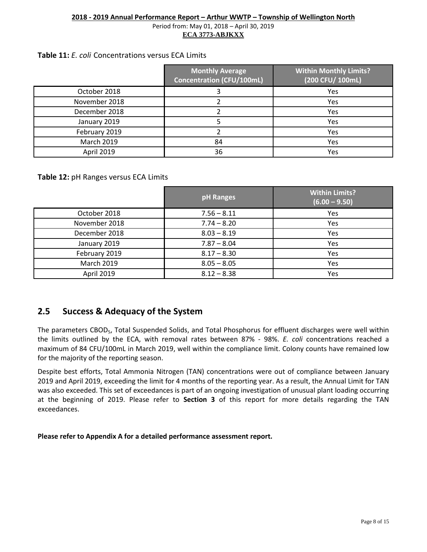#### **Table 11:** *E. coli* Concentrations versus ECA Limits

|                   | <b>Monthly Average</b><br>Concentration (CFU/100mL) | <b>Within Monthly Limits?</b><br>(200 CFU/ 100mL) |
|-------------------|-----------------------------------------------------|---------------------------------------------------|
| October 2018      |                                                     | Yes                                               |
| November 2018     |                                                     | Yes                                               |
| December 2018     |                                                     | Yes                                               |
| January 2019      |                                                     | Yes                                               |
| February 2019     |                                                     | Yes                                               |
| <b>March 2019</b> | 84                                                  | Yes                                               |
| April 2019        | 36                                                  | Yes                                               |

**Table 12:** pH Ranges versus ECA Limits

|                   | pH Ranges     | <b>Within Limits?</b><br>$(6.00 - 9.50)$ |
|-------------------|---------------|------------------------------------------|
| October 2018      | $7.56 - 8.11$ | Yes                                      |
| November 2018     | $7.74 - 8.20$ | Yes                                      |
| December 2018     | $8.03 - 8.19$ | Yes                                      |
| January 2019      | $7.87 - 8.04$ | Yes                                      |
| February 2019     | $8.17 - 8.30$ | Yes                                      |
| <b>March 2019</b> | $8.05 - 8.05$ | Yes                                      |
| April 2019        | $8.12 - 8.38$ | Yes                                      |

#### <span id="page-8-0"></span>**2.5 Success & Adequacy of the System**

The parameters CBOD<sub>5</sub>, Total Suspended Solids, and Total Phosphorus for effluent discharges were well within the limits outlined by the ECA, with removal rates between 87% - 98%. *E. coli* concentrations reached a maximum of 84 CFU/100mL in March 2019, well within the compliance limit. Colony counts have remained low for the majority of the reporting season.

Despite best efforts, Total Ammonia Nitrogen (TAN) concentrations were out of compliance between January 2019 and April 2019, exceeding the limit for 4 months of the reporting year. As a result, the Annual Limit for TAN was also exceeded. This set of exceedances is part of an ongoing investigation of unusual plant loading occurring at the beginning of 2019. Please refer to **Section 3** of this report for more details regarding the TAN exceedances.

**Please refer to Appendix A for a detailed performance assessment report.**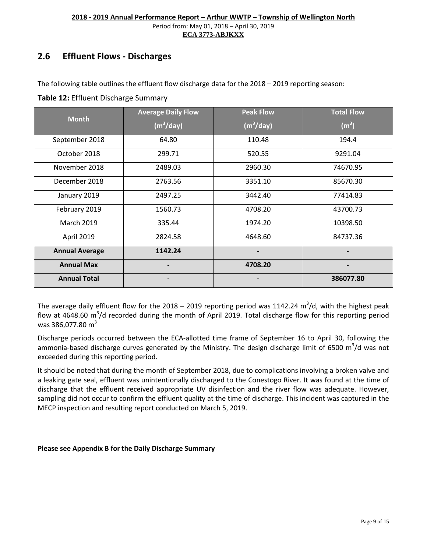#### <span id="page-9-0"></span>**2.6 Effluent Flows - Discharges**

The following table outlines the effluent flow discharge data for the 2018 – 2019 reporting season:

| Table 12: Effluent Discharge Summary |
|--------------------------------------|
|                                      |

| <b>Month</b>          | <b>Average Daily Flow</b> | <b>Peak Flow</b>      | <b>Total Flow</b> |
|-----------------------|---------------------------|-----------------------|-------------------|
|                       | (m <sup>3</sup> /day)     | (m <sup>3</sup> /day) | (m <sup>3</sup> ) |
| September 2018        | 64.80                     | 110.48                | 194.4             |
| October 2018          | 299.71                    | 520.55                | 9291.04           |
| November 2018         | 2489.03                   | 2960.30               | 74670.95          |
| December 2018         | 2763.56                   | 3351.10               | 85670.30          |
| January 2019          | 2497.25                   | 3442.40               | 77414.83          |
| February 2019         | 1560.73                   | 4708.20               | 43700.73          |
| <b>March 2019</b>     | 335.44                    | 1974.20               | 10398.50          |
| April 2019            | 2824.58                   | 4648.60               | 84737.36          |
| <b>Annual Average</b> | 1142.24                   |                       |                   |
| <b>Annual Max</b>     |                           | 4708.20               |                   |
| <b>Annual Total</b>   |                           |                       | 386077.80         |

The average daily effluent flow for the 2018 – 2019 reporting period was 1142.24  $\text{m}^3/\text{d}$ , with the highest peak flow at 4648.60 m<sup>3</sup>/d recorded during the month of April 2019. Total discharge flow for this reporting period was 386,077.80  $m^3$ 

Discharge periods occurred between the ECA-allotted time frame of September 16 to April 30, following the ammonia-based discharge curves generated by the Ministry. The design discharge limit of 6500 m<sup>3</sup>/d was not exceeded during this reporting period.

It should be noted that during the month of September 2018, due to complications involving a broken valve and a leaking gate seal, effluent was unintentionally discharged to the Conestogo River. It was found at the time of discharge that the effluent received appropriate UV disinfection and the river flow was adequate. However, sampling did not occur to confirm the effluent quality at the time of discharge. This incident was captured in the MECP inspection and resulting report conducted on March 5, 2019.

#### **Please see Appendix B for the Daily Discharge Summary**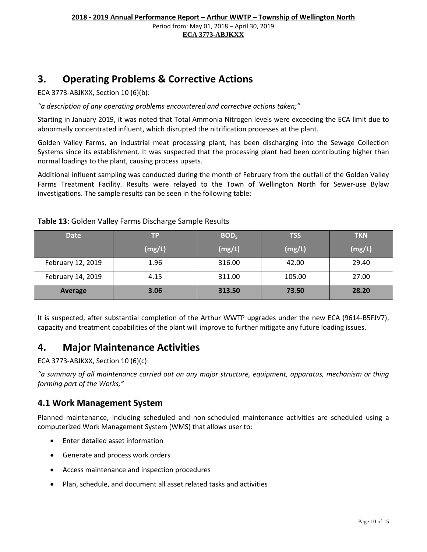#### <span id="page-10-0"></span>**3. Operating Problems & Corrective Actions**

ECA 3773-ABJKXX, Section 10 (6)(b):

*"a description of any operating problems encountered and corrective actions taken;"*

Starting in January 2019, it was noted that Total Ammonia Nitrogen levels were exceeding the ECA limit due to abnormally concentrated influent, which disrupted the nitrification processes at the plant.

Golden Valley Farms, an industrial meat processing plant, has been discharging into the Sewage Collection Systems since its establishment. It was suspected that the processing plant had been contributing higher than normal loadings to the plant, causing process upsets.

Additional influent sampling was conducted during the month of February from the outfall of the Golden Valley Farms Treatment Facility. Results were relayed to the Town of Wellington North for Sewer-use Bylaw investigations. The sample results can be seen in the following table:

| <b>Date</b>       | TP     | BOD <sub>5</sub> | <b>TSS</b> | <b>TKN</b> |
|-------------------|--------|------------------|------------|------------|
|                   | (mg/L) | (mg/L)           | (mg/L)     | (mg/L)     |
| February 12, 2019 | 1.96   | 316.00           | 42.00      | 29.40      |
| February 14, 2019 | 4.15   | 311.00           | 105.00     | 27.00      |
| Average           | 3.06   | 313.50           | 73.50      | 28.20      |

**Table 13**: Golden Valley Farms Discharge Sample Results

It is suspected, after substantial completion of the Arthur WWTP upgrades under the new ECA (9614-B5FJV7), capacity and treatment capabilities of the plant will improve to further mitigate any future loading issues.

#### <span id="page-10-1"></span>**4. Major Maintenance Activities**

ECA 3773-ABJKXX, Section 10 (6)(c):

*"a summary of all maintenance carried out on any major structure, equipment, apparatus, mechanism or thing forming part of the Works;"*

#### <span id="page-10-2"></span>**4.1 Work Management System**

Planned maintenance, including scheduled and non-scheduled maintenance activities are scheduled using a computerized Work Management System (WMS) that allows user to:

- Enter detailed asset information
- Generate and process work orders
- Access maintenance and inspection procedures
- Plan, schedule, and document all asset related tasks and activities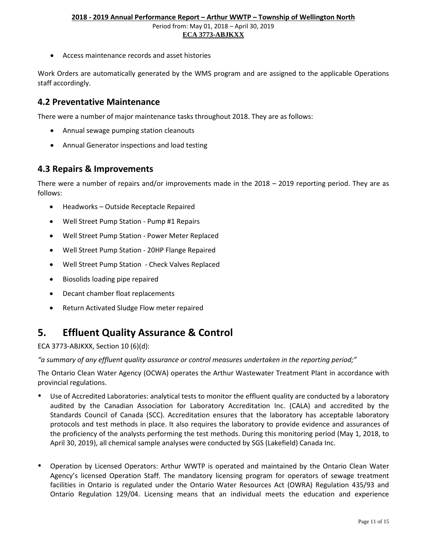• Access maintenance records and asset histories

Work Orders are automatically generated by the WMS program and are assigned to the applicable Operations staff accordingly.

#### <span id="page-11-0"></span>**4.2 Preventative Maintenance**

There were a number of major maintenance tasks throughout 2018. They are as follows:

- Annual sewage pumping station cleanouts
- <span id="page-11-1"></span>• Annual Generator inspections and load testing

#### **4.3 Repairs & Improvements**

There were a number of repairs and/or improvements made in the 2018 – 2019 reporting period. They are as follows:

- Headworks Outside Receptacle Repaired
- Well Street Pump Station Pump #1 Repairs
- Well Street Pump Station Power Meter Replaced
- Well Street Pump Station 20HP Flange Repaired
- Well Street Pump Station Check Valves Replaced
- Biosolids loading pipe repaired
- Decant chamber float replacements
- Return Activated Sludge Flow meter repaired

#### <span id="page-11-2"></span>**5. Effluent Quality Assurance & Control**

ECA 3773-ABJKXX, Section 10 (6)(d):

*"a summary of any effluent quality assurance or control measures undertaken in the reporting period;"*

The Ontario Clean Water Agency (OCWA) operates the Arthur Wastewater Treatment Plant in accordance with provincial regulations.

- Use of Accredited Laboratories: analytical tests to monitor the effluent quality are conducted by a laboratory audited by the Canadian Association for Laboratory Accreditation Inc. (CALA) and accredited by the Standards Council of Canada (SCC). Accreditation ensures that the laboratory has acceptable laboratory protocols and test methods in place. It also requires the laboratory to provide evidence and assurances of the proficiency of the analysts performing the test methods. During this monitoring period (May 1, 2018, to April 30, 2019), all chemical sample analyses were conducted by SGS (Lakefield) Canada Inc.
- Operation by Licensed Operators: Arthur WWTP is operated and maintained by the Ontario Clean Water Agency's licensed Operation Staff. The mandatory licensing program for operators of sewage treatment facilities in Ontario is regulated under the Ontario Water Resources Act (OWRA) Regulation 435/93 and Ontario Regulation 129/04. Licensing means that an individual meets the education and experience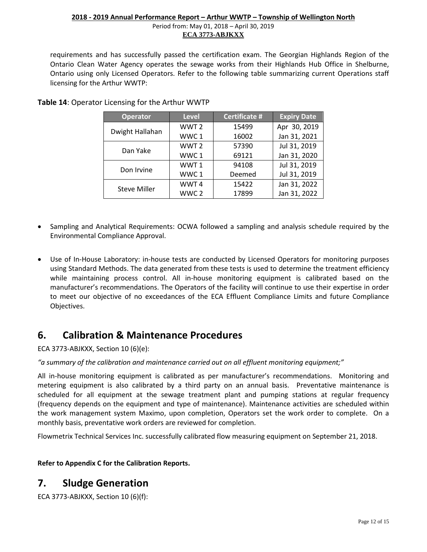requirements and has successfully passed the certification exam. The Georgian Highlands Region of the Ontario Clean Water Agency operates the sewage works from their Highlands Hub Office in Shelburne, Ontario using only Licensed Operators. Refer to the following table summarizing current Operations staff licensing for the Arthur WWTP:

| <b>Operator</b>     | <b>Level</b>     | <b>Certificate #</b> | <b>Expiry Date</b> |
|---------------------|------------------|----------------------|--------------------|
| Dwight Hallahan     | WWT <sub>2</sub> | 15499                | Apr 30, 2019       |
|                     | WWC1             | 16002                | Jan 31, 2021       |
| Dan Yake            | WWT <sub>2</sub> | 57390                | Jul 31, 2019       |
|                     | WWC1             | 69121                | Jan 31, 2020       |
| Don Irvine          | WWT1             | 94108                | Jul 31, 2019       |
|                     | WWC1             | Deemed               | Jul 31, 2019       |
|                     | WWT4             | 15422                | Jan 31, 2022       |
| <b>Steve Miller</b> | WWC <sub>2</sub> | 17899                | Jan 31, 2022       |

#### **Table 14**: Operator Licensing for the Arthur WWTP

- Sampling and Analytical Requirements: OCWA followed a sampling and analysis schedule required by the Environmental Compliance Approval.
- Use of In-House Laboratory: in-house tests are conducted by Licensed Operators for monitoring purposes using Standard Methods. The data generated from these tests is used to determine the treatment efficiency while maintaining process control. All in-house monitoring equipment is calibrated based on the manufacturer's recommendations. The Operators of the facility will continue to use their expertise in order to meet our objective of no exceedances of the ECA Effluent Compliance Limits and future Compliance Objectives.

#### <span id="page-12-0"></span>**6. Calibration & Maintenance Procedures**

ECA 3773-ABJKXX, Section 10 (6)(e):

*"a summary of the calibration and maintenance carried out on all effluent monitoring equipment;"*

All in-house monitoring equipment is calibrated as per manufacturer's recommendations. Monitoring and metering equipment is also calibrated by a third party on an annual basis. Preventative maintenance is scheduled for all equipment at the sewage treatment plant and pumping stations at regular frequency (frequency depends on the equipment and type of maintenance). Maintenance activities are scheduled within the work management system Maximo, upon completion, Operators set the work order to complete. On a monthly basis, preventative work orders are reviewed for completion.

Flowmetrix Technical Services Inc. successfully calibrated flow measuring equipment on September 21, 2018.

#### **Refer to Appendix C for the Calibration Reports.**

#### <span id="page-12-1"></span>**7. Sludge Generation**

ECA 3773-ABJKXX, Section 10 (6)(f):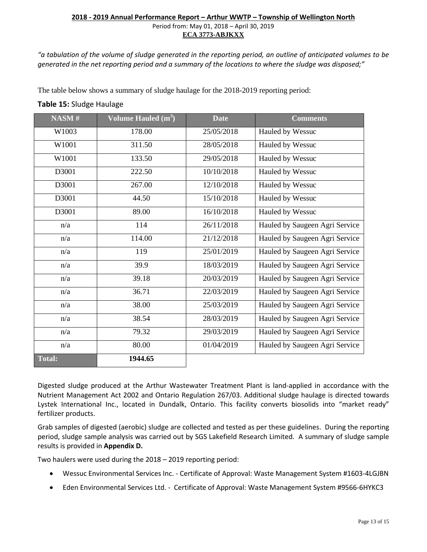*"a tabulation of the volume of sludge generated in the reporting period, an outline of anticipated volumes to be generated in the net reporting period and a summary of the locations to where the sludge was disposed;"*

The table below shows a summary of sludge haulage for the 2018-2019 reporting period:

#### **Table 15:** Sludge Haulage

| NASM#         | Volume Hauled $(m3)$ | <b>Date</b> | <b>Comments</b>                |
|---------------|----------------------|-------------|--------------------------------|
| W1003         | 178.00               | 25/05/2018  | Hauled by Wessuc               |
| W1001         | 311.50               | 28/05/2018  | Hauled by Wessuc               |
| W1001         | 133.50               | 29/05/2018  | Hauled by Wessuc               |
| D3001         | 222.50               | 10/10/2018  | Hauled by Wessuc               |
| D3001         | 267.00               | 12/10/2018  | Hauled by Wessuc               |
| D3001         | 44.50                | 15/10/2018  | Hauled by Wessuc               |
| D3001         | 89.00                | 16/10/2018  | Hauled by Wessuc               |
| n/a           | 114                  | 26/11/2018  | Hauled by Saugeen Agri Service |
| n/a           | 114.00               | 21/12/2018  | Hauled by Saugeen Agri Service |
| n/a           | 119                  | 25/01/2019  | Hauled by Saugeen Agri Service |
| n/a           | 39.9                 | 18/03/2019  | Hauled by Saugeen Agri Service |
| n/a           | 39.18                | 20/03/2019  | Hauled by Saugeen Agri Service |
| n/a           | 36.71                | 22/03/2019  | Hauled by Saugeen Agri Service |
| n/a           | 38.00                | 25/03/2019  | Hauled by Saugeen Agri Service |
| n/a           | 38.54                | 28/03/2019  | Hauled by Saugeen Agri Service |
| n/a           | 79.32                | 29/03/2019  | Hauled by Saugeen Agri Service |
| n/a           | 80.00                | 01/04/2019  | Hauled by Saugeen Agri Service |
| <b>Total:</b> | 1944.65              |             |                                |

Digested sludge produced at the Arthur Wastewater Treatment Plant is land-applied in accordance with the Nutrient Management Act 2002 and Ontario Regulation 267/03. Additional sludge haulage is directed towards Lystek International Inc., located in Dundalk, Ontario. This facility converts biosolids into "market ready" fertilizer products.

Grab samples of digested (aerobic) sludge are collected and tested as per these guidelines. During the reporting period, sludge sample analysis was carried out by SGS Lakefield Research Limited. A summary of sludge sample results is provided in **Appendix D.**

Two haulers were used during the 2018 – 2019 reporting period:

- Wessuc Environmental Services Inc. Certificate of Approval: Waste Management System #1603-4LGJBN
- Eden Environmental Services Ltd. Certificate of Approval: Waste Management System #9566-6HYKC3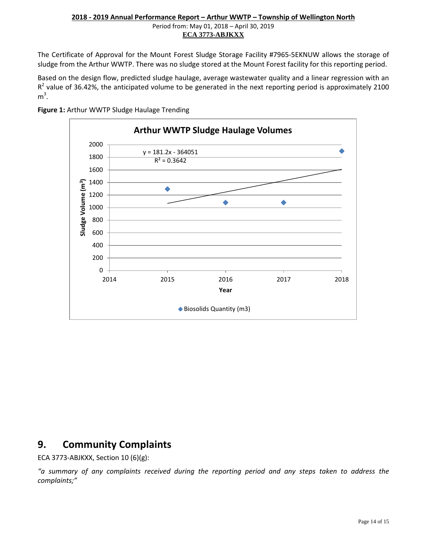The Certificate of Approval for the Mount Forest Sludge Storage Facility #7965-5EKNUW allows the storage of sludge from the Arthur WWTP. There was no sludge stored at the Mount Forest facility for this reporting period.

Based on the design flow, predicted sludge haulage, average wastewater quality and a linear regression with an  $R<sup>2</sup>$  value of 36.42%, the anticipated volume to be generated in the next reporting period is approximately 2100  $m^3$ .



**Figure 1:** Arthur WWTP Sludge Haulage Trending

#### <span id="page-14-0"></span>**9. Community Complaints**

ECA 3773-ABJKXX, Section 10 (6)(g):

*"a summary of any complaints received during the reporting period and any steps taken to address the complaints;"*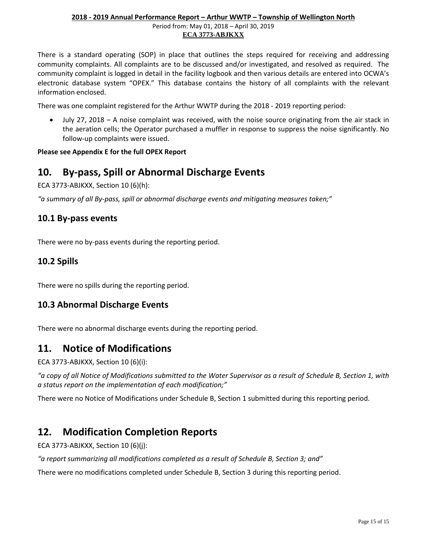There is a standard operating (SOP) in place that outlines the steps required for receiving and addressing community complaints. All complaints are to be discussed and/or investigated, and resolved as required. The community complaint is logged in detail in the facility logbook and then various details are entered into OCWA's electronic database system "OPEX." This database contains the history of all complaints with the relevant information enclosed.

There was one complaint registered for the Arthur WWTP during the 2018 - 2019 reporting period:

• July 27, 2018 – A noise complaint was received, with the noise source originating from the air stack in the aeration cells; the Operator purchased a muffler in response to suppress the noise significantly. No follow-up complaints were issued.

#### **Please see Appendix E for the full OPEX Report**

#### <span id="page-15-0"></span>**10. By-pass, Spill or Abnormal Discharge Events**

ECA 3773-ABJKXX, Section 10 (6)(h):

*"a summary of all By-pass, spill or abnormal discharge events and mitigating measures taken;"*

#### <span id="page-15-1"></span>**10.1 By-pass events**

There were no by-pass events during the reporting period.

#### <span id="page-15-2"></span>**10.2 Spills**

There were no spills during the reporting period.

#### <span id="page-15-3"></span>**10.3 Abnormal Discharge Events**

There were no abnormal discharge events during the reporting period.

#### <span id="page-15-4"></span>**11. Notice of Modifications**

ECA 3773-ABJKXX, Section 10 (6)(i):

*"a copy of all Notice of Modifications submitted to the Water Supervisor as a result of Schedule B, Section 1, with a status report on the implementation of each modification;"*

There were no Notice of Modifications under Schedule B, Section 1 submitted during this reporting period.

#### <span id="page-15-5"></span>**12. Modification Completion Reports**

ECA 3773-ABJKXX, Section 10 (6)(j):

*"a report summarizing all modifications completed as a result of Schedule B, Section 3; and"*

There were no modifications completed under Schedule B, Section 3 during this reporting period.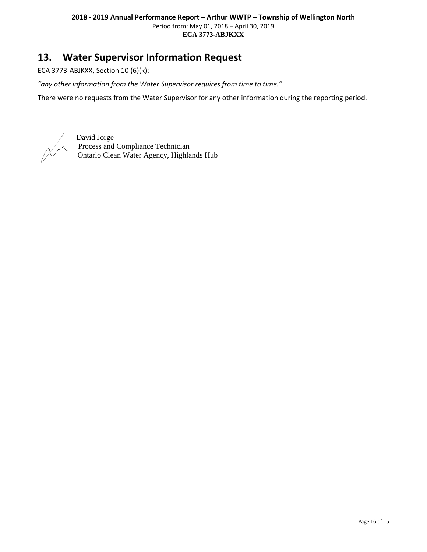Period from: May 01, 2018 – April 30, 2019 **ECA 3773-ABJKXX** 

#### <span id="page-16-0"></span>**13. Water Supervisor Information Request**

ECA 3773-ABJKXX, Section 10 (6)(k):

*"any other information from the Water Supervisor requires from time to time."*

There were no requests from the Water Supervisor for any other information during the reporting period.

David Jorge Process and Compliance Technician Ontario Clean Water Agency, Highlands Hub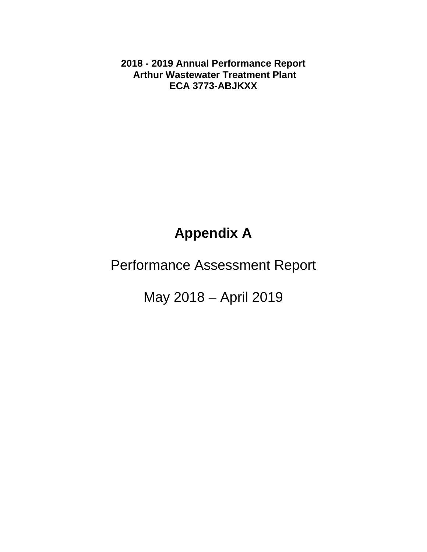**2018 - 2019 Annual Performance Report Arthur Wastewater Treatment Plant ECA 3773-ABJKXX** 

### **Appendix A**

### Performance Assessment Report

May 2018 – April 2019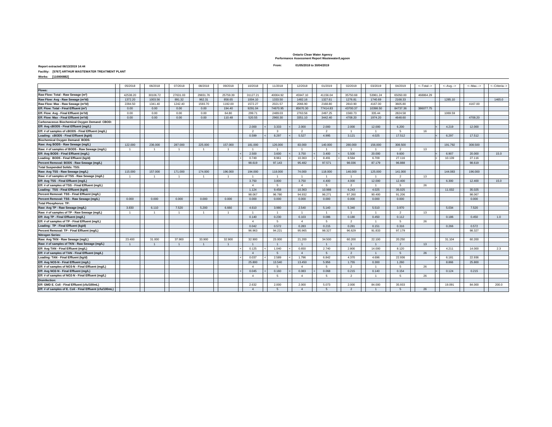**Ontario Clean Water Agency Performance Assessment Report Wastewater/Lagoon 01/05/2018 to 30/04/2019**

**Report extracted 06/13/2019 14:44 From:**

**Facility: [5767] ARTHUR WASTEWATER TREATMENT PLANT**

**Works: [110000882]** 

|                                                           | 05/2018        | 06/2018        | 07/2018        | 08/2018        | 09/2018        | 10/2018        | 11/2018        | 12/2018        | 01/2019        | 02/2019        | 03/2019        | 04/2019        | <--Total--> | $\leftarrow$ Avg. $\rightarrow$ | <--Max.--> | <--Criteria--> |
|-----------------------------------------------------------|----------------|----------------|----------------|----------------|----------------|----------------|----------------|----------------|----------------|----------------|----------------|----------------|-------------|---------------------------------|------------|----------------|
| <b>Flows:</b>                                             |                |                |                |                |                |                |                |                |                |                |                |                |             |                                 |            |                |
| Raw Flow: Total - Raw Sewage (m <sup>3</sup> )            | 42538.20       | 30106.72       | 27631.03       | 29831.76       | 25759.39       | 31127.21       | 40004.92       | 45947.10       | 41156.04       | 35750.68       | 53961.24       | 65050.00       | 468864.29   |                                 |            |                |
| Raw Flow: Avg - Raw Sewage (m <sup>3</sup> /d)            | 1372.20        | 1003.56        | 891.32         | 962.31         | 858.65         | 1004.10        | 1333.50        | 1482.16        | 1327.61        | 1276.81        | 1740.69        | 2168.33        |             | 1285.10                         |            | 1465.0         |
| Raw Flow: Max - Raw Sewage (m3/d)                         | 2284.50        | 1341.40        | 1242.40        | 1593.70        | 1192.00        | 1572.27        | 2021.57        | 2066.90        | 2168.80        | 2810.90        | 4167.00        | 3605.80        |             |                                 | 4167.00    |                |
| Eff. Flow: Total - Final Effluent (m <sup>3</sup> )       | 0.00           | 0.00           | 0.00           | 0.00           | 194.40         | 9291.04        | 74670.95       | 85670.30       | 77414.83       | 43700.37       | 10398.50       | 84737.36       | 386077.75   |                                 |            |                |
| Eff. Flow: Avg - Final Effluent (m <sup>3/</sup> d)       | 0.00           | 0.00           | 0.00           | 0.00           | 64.80          | 299.71         | 2489.03        | 2763.56        | 2497.25        | 1560.73        | 335.44         | 2824.58        |             | 1069.59                         |            |                |
| Eff. Flow: Max - Final Effluent (m3/d)                    | 0.00           | 0.00           | 0.00           | 0.00           | 110.48         | 520.55         | 2960.30        | 3351.10        | 3442.40        | 4708.20        | 1974.20        | 4648.60        |             |                                 | 4708.20    |                |
| Carbonaceous Biochemical Oxygen Demand: CBOD:             |                |                |                |                |                |                |                |                |                |                |                |                |             |                                 |            |                |
| Eff: Avg cBOD5 - Final Effluent (mg/L)                    |                |                |                |                |                | 2.000          | 3.333          | 2.000          | 2.000          | 2.000          | 12,000         | 6.200          |             | 4.219                           | 12,000     |                |
| Eff: # of samples of cBOD5 - Final Effluent (mg/L)        |                |                |                |                |                | $\overline{2}$ | 3              | 2              | $\overline{2}$ | $\overline{1}$ | $\overline{1}$ | 5              | 16          |                                 |            |                |
| Loading: cBOD5 - Final Effluent (kg/d)                    |                |                |                |                |                | 0.599          | 8.297          | 5.527          | 4.995          | 3.121          | 4.025          | 17.512         |             | 6.297                           | 17.512     |                |
| Biochemical Oxygen Demand: BOD5:                          |                |                |                |                |                |                |                |                |                |                |                |                |             |                                 |            |                |
| Raw: Avg BOD5 - Raw Sewage (mg/L)                         | 122,000        | 236,000        | 287,000        | 225,000        | 157,000        | 181,000        | 126,000        | 83,000         | 140,000        | 280,000        | 156,000        | 308,500        |             | 191.792                         | 308,500    |                |
| Raw: # of samples of BOD5 - Raw Sewage (mg/L)             | $\overline{1}$ | $\overline{1}$ | $\overline{1}$ | $\overline{1}$ | $\overline{1}$ | $\overline{1}$ | $\overline{1}$ | $\overline{1}$ | $\overline{1}$ | $\overline{1}$ | $\overline{1}$ | $\overline{2}$ | 13          |                                 |            |                |
| Eff: Avg BOD5 - Final Effluent (mg/L)                     |                |                |                |                |                | 2.500          | 3.600          | 3.750          | 3.400          | 5.500          | 20.000         | 9.600          |             | 6.907                           | 20.000     | 15.0           |
| Loading: BOD5 - Final Effluent (kg/d)                     |                |                |                |                |                | 0.749          | 8.961          | 10.363         | 8.491          | 8.584          | 6.709          | 27.116         |             | 10.139                          | 27.116     |                |
| Percent Removal: BOD5 - Raw Sewage (mg/L)                 |                |                |                |                |                | 98.619         | 97.143         | 95.482         | 97.571         | 98,036         | 87.179         | 96,888         |             |                                 | 98,619     |                |
| <b>Total Suspended Solids: TSS:</b>                       |                |                |                |                |                |                |                |                |                |                |                |                |             |                                 |            |                |
| Raw: Avg TSS - Raw Sewage (mg/L)                          | 115.000        | 157.000        | 171,000        | 174,000        | 196,000        | 194,000        | 118.000        | 74,000         | 118.000        | 146,000        | 125,000        | 141,000        |             | 144,083                         | 196,000    |                |
| Raw: # of samples of TSS - Raw Sewage (mg/L)              |                |                | $\overline{1}$ | $\overline{1}$ | $\overline{1}$ | $\overline{1}$ | $\overline{1}$ |                | -1             | $\overline{1}$ | $\overline{1}$ | <sup>2</sup>   | 13          |                                 |            |                |
| Eff: Avg TSS - Final Effluent (mg/L)                      |                |                |                |                |                | 3.750          | 3.800          | 3.750          | 4.400          | 4.000          | 12.000         | 12.400         |             | 6.300                           | 12.400     | 15.0           |
| Eff: # of samples of TSS - Final Effluent (mg/L)          |                |                |                |                |                | $\overline{4}$ | 5              | $\overline{4}$ | -5             | $\overline{2}$ | $\overline{1}$ | 5              | 26          |                                 |            |                |
| Loading: TSS - Final Effluent (kg/d)                      |                |                |                |                |                | 1.124          | 9.458          | 10.363         | 10.988         | 6.243          | 4.025          | 35.025         |             | 11.032                          | 35.025     |                |
| Percent Removal: TSS - Final Effluent (mg/L)              |                |                |                |                |                | 98.067         | 96.780         | 94.932         | 96.271         | 97.260         | 90.400         | 91.206         |             |                                 | 98.067     |                |
| Percent Removal: TSS - Raw Sewage (mg/L)                  | 0.000          | 0.000          | 0.000          | 0.000          | 0.000          | 0.000          | 0.000          | 0.000          | 0.000          | 0.000          | 0.000          | 0.000          |             |                                 | 0.000      |                |
| <b>Total Phosphorus: TP:</b>                              |                |                |                |                |                |                |                |                |                |                |                |                |             |                                 |            |                |
| Raw: Avg TP - Raw Sewage (mg/L)                           | 3.830          | 6.110          | 7.520          | 5.200          | 6.660          | 4.610          | 3.980          | 2.540          | 5.140          | 5.340          | 5.510          | 3.970          |             | 5.034                           | 7.520      |                |
| Raw: # of samples of TP - Raw Sewage (mg/L)               | $\overline{1}$ | $\overline{1}$ | $\overline{1}$ | $\overline{1}$ | $\overline{1}$ | $\overline{1}$ | $\overline{1}$ | $\overline{1}$ | $\overline{1}$ | $\overline{1}$ | $\overline{1}$ | <sup>2</sup>   | 13          |                                 |            |                |
| Eff: Avg TP - Final Effluent (mg/L)                       |                |                |                |                |                | 0.140          | 0.230          | 0.103          | 0.086          | 0.180          | 0.450          | 0.112          |             | 0.186                           | 0.450      | 1.0            |
| Eff: # of samples of TP - Final Effluent (mg/L)           |                |                |                |                |                | $\overline{4}$ | 5              | $\overline{4}$ | -5             | $\overline{2}$ | $\overline{1}$ | - 5            | 26          |                                 |            |                |
| Loading: TP - Final Effluent (kg/d)                       |                |                |                |                |                | 0.042          | 0.572          | 0.283          | 0.215          | 0.281          | 0.151          | 0.316          |             | 0.266                           | 0.572      |                |
| Percent Removal: TP - Final Effluent (mg/L)               |                |                |                |                |                | 96.963         | 94.221         | 95.965         | 98.327         | 96.629         | 91.833         | 97.179         |             |                                 | 98.327     |                |
| <b>Nitrogen Series:</b>                                   |                |                |                |                |                |                |                |                |                |                |                |                |             |                                 |            |                |
| Raw: Avg TKN - Raw Sewage (mg/L)                          | 23.400         | 31.000         | 37.900         | 33.900         | 32.900         | 32.900         | 23.000         | 21.200         | 34.500         | 60.200         | 22.100         | 20.250         |             | 31.104                          | 60.200     |                |
| Raw: # of samples of TKN - Raw Sewage (mg/L)              | $\overline{1}$ | $\overline{1}$ | $\overline{1}$ | $\overline{1}$ | $\overline{1}$ | $\overline{1}$ | $\mathbf{1}$   | $\overline{1}$ | $\overline{1}$ | $\overline{1}$ | $\overline{1}$ | 2              | 13          |                                 |            |                |
| Eff: Avg TAN - Final Effluent (mg/L)                      |                |                |                |                |                | 0.125          | 1.040          | 0.650          | 2.740          | 2.800          | 14.000         | 8.120          |             | 4.211                           | 14.000     | 2.3            |
| Eff: # of samples of TAN - Final Effluent (mg/L)          |                |                |                |                |                | $\overline{4}$ | 5              | $\overline{4}$ | 5              | $\overline{2}$ | $\overline{1}$ | 5              | 26          |                                 |            |                |
| Loading: TAN - Final Effluent (kg/d)                      |                |                |                |                |                | 0.037          | 2.589          | 1.796          | 6.842          | 4.370          | 4.696          | 22.936         |             | 6.181                           | 22.936     |                |
| Eff: Avg NO3-N - Final Effluent (mg/L)                    |                |                |                |                |                | 25,800         | 13,540         | 13.450         | 5.956          | 1.755          | 0.300          | 1.260          |             | 8.866                           | 25,800     |                |
| Eff: # of samples of NO3-N - Final Effluent (mg/L)        |                |                |                |                |                | $\overline{4}$ | 5              | $\overline{4}$ | -5             | $\overline{2}$ | $\overline{1}$ | - 5            | 26          |                                 |            |                |
| Eff: Avg NO2-N - Final Effluent (mg/L)                    |                |                |                |                |                | 0.045          | 0.160          | 0.083          | 0.068          | 0.215          | 0.140          | 0.154          |             | 0.124                           | 0.215      |                |
| Eff: # of samples of NO2-N - Final Effluent (mg/L)        |                |                |                |                |                | $\overline{4}$ | 5              | $\overline{4}$ | -5             | $\overline{2}$ | $\overline{1}$ | 5              | 26          |                                 |            |                |
| <b>Disinfection:</b>                                      |                |                |                |                |                |                |                |                |                |                |                |                |             |                                 |            |                |
| Eff: GMD E. Coli - Final Effluent (cfu/100mL)             |                |                |                |                |                | 2.632          | 2.000          | 2.000          | 5.073          | 2.000          | 84,000         | 35.933         |             | 19.091                          | 84,000     | 200.0          |
| Eff: # of samples of E. Coli - Final Effluent (cfu/100mL) |                |                |                |                |                | $\overline{4}$ | $\overline{5}$ | $\Lambda$      | $\sqrt{2}$     | $\overline{2}$ |                | $\overline{5}$ | 26          |                                 |            |                |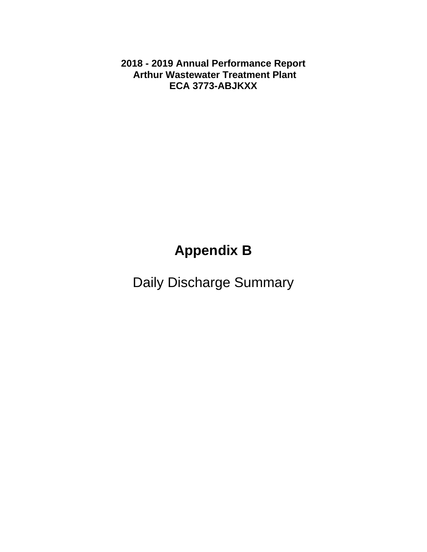**2018 - 2019 Annual Performance Report Arthur Wastewater Treatment Plant ECA 3773-ABJKXX** 

# **Appendix B**

Daily Discharge Summary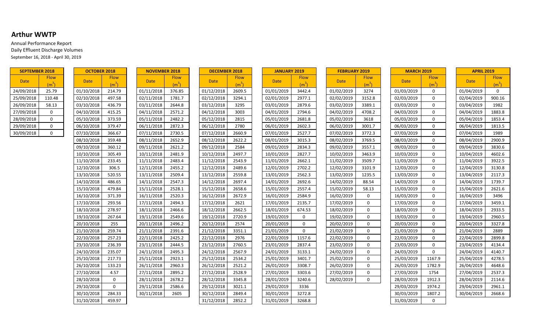#### **Arthur WWTP**

Annual Performance Report Daily Effluent Discharge Volumes September 16, 2018 - April 30, 2019

| <b>SEPTEMBER 2018</b> |                 |
|-----------------------|-----------------|
| Date                  | Flow<br>$(m^3)$ |
| 24/09/2018            | 25.79           |
| 25/09/2018            | 110.48          |
| 26/09/2018            | 58.13           |
| 27/09/2018            | O               |
| 28/09/2018            | ი               |
| 29/09/2018            | n               |
| 30/09/2018            | U               |

| Date       | <b>Flow</b>       |                |
|------------|-------------------|----------------|
|            | (m <sup>3</sup> ) |                |
| 01/10/2018 | 214.79            | 01             |
| 02/10/2018 | 497.58            | 02             |
| 03/10/2018 | 436.79            | O3             |
| 04/10/2018 | 415.25            | 04             |
| 05/10/2018 | 373.59            | 05             |
| 06/10/2018 | 379.47            | 06             |
| 07/10/2018 | 366.67            | 07             |
| 08/10/2018 | 359.48            | O٤             |
| 09/10/2018 | 360.12            | 09             |
| 10/10/2018 | 305.49            | 10             |
| 11/10/2018 | 233.45            | 11             |
| 12/10/2018 | 306.5             | 12             |
| 13/10/2018 | 520.55            | 13             |
| 14/10/2018 | 486.65            | 14             |
| 15/10/2018 | 479.84            | 15             |
| 16/10/2018 | 371.39            | 16             |
| 17/10/2018 | 293.56            | 17             |
| 18/10/2018 | 278.97            | 18             |
| 19/10/2018 | 267.64            | 1 <sup>c</sup> |
| 20/10/2018 | 255               | 20             |
| 21/10/2018 | 259.74            | 21             |
| 22/10/2018 | 257.23            | 22             |
| 23/10/2018 | 236.39            | 23             |
| 24/10/2018 | 235.07            | $2\ell$        |
| 25/10/2018 | 217.73            | 25             |
| 26/10/2018 | 133.23            | 26             |
| 27/10/2018 | 4.57              | 27             |
| 28/10/2018 | 0                 | 28             |
| 29/10/2018 | 0                 | 29             |
| 30/10/2018 | 284.33            | 3 <sup>1</sup> |
| 31/10/2018 | 459.97            |                |

| <b>SEPTEMBER 2018</b> |                                  | <b>OCTOBER 2018</b> |                                  | <b>NOVEMBER 2018</b> |                                  |  | <b>DECEMBER 2018</b> |                                  |  | <b>JANUARY 2019</b> |                                  | <b>FEBRUARY 2019</b> |                                  |  | <b>MARCH 2019</b> |                                  |  | <b>APRIL 2019</b> |                                  |
|-----------------------|----------------------------------|---------------------|----------------------------------|----------------------|----------------------------------|--|----------------------|----------------------------------|--|---------------------|----------------------------------|----------------------|----------------------------------|--|-------------------|----------------------------------|--|-------------------|----------------------------------|
| <b>Date</b>           | <b>Flow</b><br>(m <sup>3</sup> ) | <b>Date</b>         | <b>Flow</b><br>(m <sup>3</sup> ) | <b>Date</b>          | <b>Flow</b><br>(m <sup>3</sup> ) |  | <b>Date</b>          | <b>Flow</b><br>(m <sup>3</sup> ) |  | <b>Date</b>         | <b>Flow</b><br>(m <sup>3</sup> ) | <b>Date</b>          | <b>Flow</b><br>(m <sup>3</sup> ) |  | <b>Date</b>       | <b>Flow</b><br>(m <sup>3</sup> ) |  | <b>Date</b>       | <b>Flow</b><br>(m <sup>3</sup> ) |
| 24/09/2018            | 25.79                            | 01/10/2018          | 214.79                           | 01/11/2018           | 376.85                           |  | 01/12/2018           | 2609.5                           |  | 01/01/2019          | 3442.4                           | 01/02/2019           | 3274                             |  | 01/03/2019        | 0                                |  | 01/04/2019        | $\mathbf 0$                      |
| 25/09/2018            | 110.48                           | 02/10/2018          | 497.58                           | 02/11/2018           | 1781.7                           |  | 02/12/2018           | 3294.1                           |  | 02/01/2019          | 2977.1                           | 02/02/2019           | 3152.8                           |  | 02/03/2019        | 0                                |  | 02/04/2019        | 900.16                           |
| 26/09/2018            | 58.13                            | 03/10/2018          | 436.79                           | 03/11/2018           | 2644.8                           |  | 03/12/2018           | 3295                             |  | 03/01/2019          | 2879.6                           | 03/02/2019           | 3389.1                           |  | 03/03/2019        | $\Omega$                         |  | 03/04/2019        | 1982                             |
| 27/09/2018            | $\mathbf 0$                      | 04/10/2018          | 415.25                           | 04/11/2018           | 2571.2                           |  | 04/12/2018           | 3003                             |  | 04/01/2019          | 2794.6                           | 04/02/2019           | 4708.2                           |  | 04/03/2019        | 0                                |  | 04/04/2019        | 1883.8                           |
| 28/09/2018            | $\mathbf 0$                      | 05/10/2018          | 373.59                           | 05/11/2018           | 2482.2                           |  | 05/12/2018           | 2815                             |  | 05/01/2019          | 2681.8                           | 05/02/2019           | 3618                             |  | 05/03/2019        | $\mathbf{0}$                     |  | 05/04/2019        | 1853.4                           |
| 29/09/2018            | $\Omega$                         | 06/10/2018          | 379.47                           | 06/11/2018           | 2872.3                           |  | 06/12/2018           | 2780                             |  | 06/01/2019          | 2602.3                           | 06/02/2019           | 3001.7                           |  | 06/03/2019        | $\Omega$                         |  | 06/04/2019        | 1813.5                           |
| 30/09/2018            | $\Omega$                         | 07/10/2018          | 366.67                           | 07/11/2018           | 2730.5                           |  | 07/12/2018           | 2660.9                           |  | 07/01/2019          | 2527.7                           | 07/02/2019           | 3772.3                           |  | 07/03/2019        | 0                                |  | 07/04/2019        | 1989                             |
|                       |                                  | 08/10/2018          | 359.48                           | 08/11/2018           | 2652.9                           |  | 08/12/2018           | 2622.2                           |  | 08/01/2019          | 3015.3                           | 08/02/2019           | 3769.5                           |  | 08/03/2019        | 0                                |  | 08/04/2019        | 2900.9                           |
|                       |                                  | 09/10/2018          | 360.12                           | 09/11/2018           | 2621.2                           |  | 09/12/2018           | 2584                             |  | 09/01/2019          | 2834.3                           | 09/02/2019           | 3557.1                           |  | 09/03/2019        | $\mathbf{0}$                     |  | 09/04/2019        | 3830.6                           |
|                       |                                  | 10/10/2018          | 305.49                           | 10/11/2018           | 2481.9                           |  | 10/12/2018           | 2497.7                           |  | 10/01/2019          | 2827.7                           | 10/02/2019           | 3463.9                           |  | 10/03/2019        | $\mathbf{0}$                     |  | 10/04/2019        | 4602.6                           |
|                       |                                  | 11/10/2018          | 233.45                           | 11/11/2018           | 2483.4                           |  | 11/12/2018           | 2543.9                           |  | 11/01/2019          | 2662.1                           | 11/02/2019           | 3509.7                           |  | 11/03/2019        | $\Omega$                         |  | 11/04/2019        | 3922.5                           |
|                       |                                  | 12/10/2018          | 306.5                            | 12/11/2018           | 2455.2                           |  | 12/12/2018           | 2489.6                           |  | 12/01/2019          | 2702.2                           | 12/02/2019           | 3101.9                           |  | 12/03/2019        | 0                                |  | 12/04/2019        | 3130.8                           |
|                       |                                  | 13/10/2018          | 520.55                           | 13/11/2018           | 2509.4                           |  | 13/12/2018           | 2559.8                           |  | 13/01/2019          | 2562.3                           | 13/02/2019           | 1235.5                           |  | 13/03/2019        | $\mathbf{0}$                     |  | 13/04/2019        | 2117.3                           |
|                       |                                  | 14/10/2018          | 486.65                           | 14/11/2018           | 2547.3                           |  | 14/12/2018           | 2697.4                           |  | 14/01/2019          | 2692.6                           | 14/02/2019           | 88.54                            |  | 14/03/2019        | 0                                |  | 14/04/2019        | 1739.7                           |
|                       |                                  | 15/10/2018          | 479.84                           | 15/11/2018           | 2528.1                           |  | 15/12/2018           | 2658.6                           |  | 15/01/2019          | 2557.4                           | 15/02/2019           | 58.13                            |  | 15/03/2019        | $\Omega$                         |  | 15/04/2019        | 2621.6                           |
|                       |                                  | 16/10/2018          | 371.39                           | 16/11/2018           | 2520.3                           |  | 16/12/2018           | 2672.9                           |  | 16/01/2019          | 2584.9                           | 16/02/2019           | $\Omega$                         |  | 16/03/2019        | $\Omega$                         |  | 16/04/2019        | 3496                             |
|                       |                                  | 17/10/2018          | 293.56                           | 17/11/2018           | 2494.3                           |  | 17/12/2018           | 2621                             |  | 17/01/2019          | 2135.7                           | 17/02/2019           | $\mathbf 0$                      |  | 17/03/2019        | $\mathbf{0}$                     |  | 17/04/2019        | 3459.1                           |
|                       |                                  | 18/10/2018          | 278.97                           | 18/11/2018           | 2466.6                           |  | 18/12/2018           | 2662.5                           |  | 18/01/2019          | 674.53                           | 18/02/2019           | $\mathbf 0$                      |  | 18/03/2019        | $\mathbf{0}$                     |  | 18/04/2019        | 2933.5                           |
|                       |                                  | 19/10/2018          | 267.64                           | 19/11/2018           | 2549.6                           |  | 19/12/2018           | 2720.9                           |  | 19/01/2019          | $\mathbf 0$                      | 19/02/2019           | $\Omega$                         |  | 19/03/2019        | $\Omega$                         |  | 19/04/2019        | 2960.5                           |
|                       |                                  | 20/10/2018          | 255                              | 20/11/2018           | 2496.2                           |  | 20/12/2018           | 2574                             |  | 20/01/2019          | $\overline{0}$                   | 20/02/2019           | $\Omega$                         |  | 20/03/2019        | $\mathbf{0}$                     |  | 20/04/2019        | 3327.8                           |
|                       |                                  | 21/10/2018          | 259.74                           | 21/11/2018           | 2391.6                           |  | 21/12/2018           | 3351.1                           |  | 21/01/2019          | $\mathbf 0$                      | 21/02/2019           | $\Omega$                         |  | 21/03/2019        | $\Omega$                         |  | 21/04/2019        | 2889                             |
|                       |                                  | 22/10/2018          | 257.23                           | 22/11/2018           | 2425.2                           |  | 22/12/2018           | 2976                             |  | 22/01/2019          | 1157.6                           | 22/02/2019           | $\mathbf 0$                      |  | 22/03/2019        | 0                                |  | 22/04/2019        | 2899.8                           |
|                       |                                  | 23/10/2018          | 236.39                           | 23/11/2018           | 2444.5                           |  | 23/12/2018           | 2760.5                           |  | 23/01/2019          | 2837.4                           | 23/02/2019           | $\mathbf 0$                      |  | 23/03/2019        | $\mathbf{0}$                     |  | 23/04/2019        | 4134.4                           |
|                       |                                  | 24/10/2018          | 235.07                           | 24/11/2018           | 2495.3                           |  | 24/12/2018           | 2567.9                           |  | 24/01/2019          | 3133.1                           | 24/02/2019           | $\Omega$                         |  | 24/03/2019        | $\Omega$                         |  | 24/04/2019        | 4140.7                           |
|                       |                                  | 25/10/2018          | 217.73                           | 25/11/2018           | 2923.1                           |  | 25/12/2018           | 2534.2                           |  | 25/01/2019          | 3401.7                           | 25/02/2019           | $\Omega$                         |  | 25/03/2019        | 1167.9                           |  | 25/04/2019        | 4278.5                           |
|                       |                                  | 26/10/2018          | 133.23                           | 26/11/2018           | 2960.3                           |  | 26/12/2018           | 2521.2                           |  | 26/01/2019          | 3308.7                           | 26/02/2019           | $\mathbf 0$                      |  | 26/03/2019        | 1782.9                           |  | 26/04/2019        | 4648.6                           |
|                       |                                  | 27/10/2018          | 4.57                             | 27/11/2018           | 2895.2                           |  | 27/12/2018           | 2528.9                           |  | 27/01/2019          | 3303.6                           | 27/02/2019           | $\mathbf 0$                      |  | 27/03/2019        | 1754                             |  | 27/04/2019        | 2537.3                           |
|                       |                                  | 28/10/2018          | $\overline{0}$                   | 28/11/2018           | 2678.2                           |  | 28/12/2018           | 3345.8                           |  | 28/01/2019          | 3240.6                           | 28/02/2019           | $\Omega$                         |  | 28/03/2019        | 1912.3                           |  | 28/04/2019        | 2114.6                           |
|                       |                                  | 29/10/2018          | $\mathbf{0}$                     | 29/11/2018           | 2586.6                           |  | 29/12/2018           | 3021.1                           |  | 29/01/2019          | 3336                             |                      |                                  |  | 29/03/2019        | 1974.2                           |  | 29/04/2019        | 2961.1                           |
|                       |                                  | 30/10/2018          | 284.33                           | 30/11/2018           | 2605                             |  | 30/12/2018           | 2849.4                           |  | 30/01/2019          | 3272.8                           |                      |                                  |  | 30/03/2019        | 1807.2                           |  | 30/04/2019        | 2668.6                           |
|                       |                                  | 31/10/2018          | 459.97                           |                      |                                  |  | 31/12/2018           | 2852.2                           |  | 31/01/2019          | 3268.8                           |                      |                                  |  | 31/03/2019        | $\Omega$                         |  |                   |                                  |

| <b>JANUARY 2019</b> |             |
|---------------------|-------------|
|                     | <b>Flow</b> |
| Date                | $(m^3)$     |
| 01/01/2019          | 3442.4      |
| 02/01/2019          | 2977.1      |
| 03/01/2019          | 2879.6      |
| 04/01/2019          | 2794.6      |
| 05/01/2019          | 2681.8      |
| 06/01/2019          | 2602.3      |
| 07/01/2019          | 2527.7      |
| 08/01/2019          | 3015.3      |
| 09/01/2019          | 2834.3      |
| 10/01/2019          | 2827.7      |
| 11/01/2019          | 2662.1      |
| 12/01/2019          | 2702.2      |
| 13/01/2019          | 2562.3      |
| 14/01/2019          | 2692.6      |
| 15/01/2019          | 2557.4      |
| 16/01/2019          | 2584.9      |
| 17/01/2019          | 2135.7      |
| 18/01/2019          | 674.53      |
| 19/01/2019          | 0           |
| 20/01/2019          | 0           |
| 21/01/2019          | 0           |
| 22/01/2019          | 1157.6      |
| 23/01/2019          | 2837.4      |
| 24/01/2019          | 3133.1      |
| 25/01/2019          | 3401.7      |
| 26/01/2019          | 3308.7      |
| 27/01/2019          | 3303.6      |
| 28/01/2019          | 3240.6      |
| 29/01/2019          | 3336        |
| 30/01/2019          | 3272.8      |
| 31/01/2019          | 3268.8      |

| <b>FEBRUARY 2019</b> |                   |
|----------------------|-------------------|
| Date                 | <b>Flow</b>       |
|                      | (m <sup>3</sup> ) |
| 01/02/2019           | 3274              |
| 02/02/2019           | 3152.8            |
| 03/02/2019           | 3389.1            |
| 04/02/2019           | 4708.2            |
| 05/02/2019           | 3618              |
| 06/02/2019           | 3001.7            |
| 07/02/2019           | 3772.3            |
| 08/02/2019           | 3769.5            |
| 09/02/2019           | 3557.1            |
| 10/02/2019           | 3463.9            |
| 11/02/2019           | 3509.7            |
| 12/02/2019           | 3101.9            |
| 13/02/2019           | 1235.5            |
| 14/02/2019           | 88.54             |
| 15/02/2019           | 58.13             |
| 16/02/2019           | 0                 |
| 17/02/2019           | 0                 |
| 18/02/2019           | 0                 |
| 19/02/2019           | 0                 |
| 20/02/2019           | 0                 |
| 21/02/2019           | 0                 |
| 22/02/2019           | 0                 |
| 23/02/2019           | 0                 |
| 24/02/2019           | 0                 |
| 25/02/2019           | 0                 |
| 26/02/2019           | 0                 |
| 27/02/2019           | 0                 |
| 28/02/2019           | 0                 |

| <b>MARCH 2019</b> |                   |  |  |  |
|-------------------|-------------------|--|--|--|
| Date              | <b>Flow</b>       |  |  |  |
|                   | (m <sup>3</sup> ) |  |  |  |
| 01/03/2019        | 0                 |  |  |  |
| 02/03/2019        | 0                 |  |  |  |
| 03/03/2019        | 0                 |  |  |  |
| 04/03/2019        | 0                 |  |  |  |
| 05/03/2019        | 0                 |  |  |  |
| 06/03/2019        | 0                 |  |  |  |
| 07/03/2019        | 0                 |  |  |  |
| 08/03/2019        | 0                 |  |  |  |
| 09/03/2019        | 0                 |  |  |  |
| 10/03/2019        | 0                 |  |  |  |
| 11/03/2019        | 0                 |  |  |  |
| 12/03/2019        | 0                 |  |  |  |
| 13/03/2019        | 0                 |  |  |  |
| 14/03/2019        | 0                 |  |  |  |
| 15/03/2019        | 0                 |  |  |  |
| 16/03/2019        | 0                 |  |  |  |
| 17/03/2019        | 0                 |  |  |  |
| 18/03/2019        | 0                 |  |  |  |
| 19/03/2019        | 0                 |  |  |  |
| 20/03/2019        | 0                 |  |  |  |
| 21/03/2019        | 0                 |  |  |  |
| 22/03/2019        | 0                 |  |  |  |
| 23/03/2019        | 0                 |  |  |  |
| 24/03/2019        | 0                 |  |  |  |
| 25/03/2019        | 1167.9            |  |  |  |
| 26/03/2019        | 1782.9            |  |  |  |
| 27/03/2019        | 1754              |  |  |  |
| 28/03/2019        | 1912.3            |  |  |  |
| 29/03/2019        | 1974.2            |  |  |  |
| 30/03/2019        | 1807.2            |  |  |  |
| 31/03/2019        | 0                 |  |  |  |

| <b>APRIL 2019</b> |         |
|-------------------|---------|
|                   | Flow    |
| Date              | $(m^3)$ |
| 01/04/2019        | 0       |
| 02/04/2019        | 900.16  |
| 03/04/2019        | 1982    |
| 04/04/2019        | 1883.8  |
| 05/04/2019        | 1853.4  |
| 06/04/2019        | 1813.5  |
| 07/04/2019        | 1989    |
| 08/04/2019        | 2900.9  |
| 09/04/2019        | 3830.6  |
| 10/04/2019        | 4602.6  |
| 11/04/2019        | 3922.5  |
| 12/04/2019        | 3130.8  |
| 13/04/2019        | 2117.3  |
| 14/04/2019        | 1739.7  |
| 15/04/2019        | 2621.6  |
| 16/04/2019        | 3496    |
| 17/04/2019        | 3459.1  |
| 18/04/2019        | 2933.5  |
| 19/04/2019        | 2960.5  |
| 20/04/2019        | 3327.8  |
| 21/04/2019        | 2889    |
| 22/04/2019        | 2899.8  |
| 23/04/2019        | 4134.4  |
| 24/04/2019        | 4140.7  |
| 25/04/2019        | 4278.5  |
| 26/04/2019        | 4648.6  |
| 27/04/2019        | 2537.3  |
| 28/04/2019        | 2114.6  |
| 29/04/2019        | 2961.1  |
| 30/04/2019        | 2668.6  |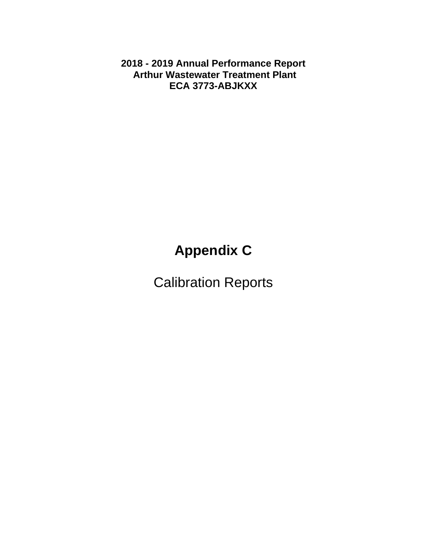**2018 - 2019 Annual Performance Report Arthur Wastewater Treatment Plant ECA 3773-ABJKXX** 

# **Appendix C**

Calibration Reports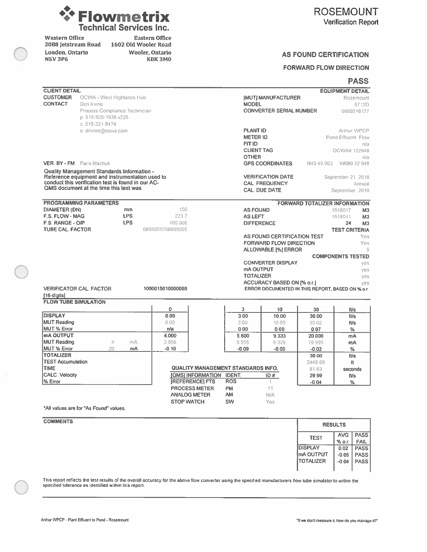

Western Office 2088 Jetstream Road London, Ontario **N5V 3P6** 

Eastern Office 1602 Old Wooler Road Wooler, Ontario **K0K3M0** 

#### **AS FOUND CERTIFICATION**

#### **FORWARD FLOW DIRECTION**

#### **PASS**

| <b>CLIENT DETAIL</b>                       |                                                    |            |                                    |                 |                                                  |                                      | <b>EQUIPMENT DETAIL</b>         |
|--------------------------------------------|----------------------------------------------------|------------|------------------------------------|-----------------|--------------------------------------------------|--------------------------------------|---------------------------------|
| <b>CUSTOMER</b>                            | OCWA - West Highlands Hub                          |            |                                    |                 | <b>IMUTI MANUFACTURER</b>                        |                                      | Rosemount                       |
| <b>CONTACT</b>                             | Don Irvine                                         |            |                                    | <b>MODEL</b>    |                                                  |                                      | 8712D                           |
|                                            | Process Compliance Technician                      |            |                                    |                 | <b>CONVERTER SERIAL NUMBER</b>                   |                                      | 0860216177                      |
|                                            | p. 519-925-1938 x225                               |            |                                    |                 |                                                  |                                      |                                 |
|                                            | c 519-321-9474                                     |            |                                    |                 |                                                  |                                      |                                 |
|                                            | e dirvine@ocwa.com                                 |            |                                    | <b>PLANT ID</b> |                                                  |                                      | Arthur WPCP                     |
|                                            |                                                    |            |                                    |                 | <b>METER ID</b>                                  |                                      | Pond Effluent Flow              |
|                                            |                                                    |            |                                    | FIT ID          |                                                  |                                      | πfa                             |
|                                            |                                                    |            |                                    |                 | <b>CLIENT TAG</b>                                |                                      | OCWA# 122848                    |
|                                            |                                                    |            |                                    | <b>OTHER</b>    |                                                  |                                      | nia                             |
|                                            | <b>VER. BY - FM</b> Paris Machuk                   |            |                                    |                 | <b>GPS COORDINATES</b>                           | N4349903                             | W080 32 948                     |
|                                            | <b>Quality Management Standards Information -</b>  |            |                                    |                 |                                                  |                                      |                                 |
|                                            | Reference equipment and instrumentation used to    |            |                                    |                 | <b>VERIFICATION DATE</b>                         |                                      | September 21, 2018              |
|                                            | conduct this verification test is found in our AC- |            |                                    |                 | <b>CAL. FREQUENCY</b>                            |                                      | Annual                          |
|                                            | QMS document at the time this test was             |            |                                    |                 | <b>CAL. DUE DATE</b>                             |                                      | September <sub>2019</sub>       |
|                                            |                                                    |            |                                    |                 |                                                  |                                      |                                 |
|                                            | <b>PROGRAMMING PARAMETERS</b>                      |            |                                    |                 |                                                  | <b>FORWARD TOTALIZER INFORMATION</b> |                                 |
| <b>DIAMETER (DN)</b>                       |                                                    | mm         | 150                                |                 | <b>AS FOUND</b>                                  |                                      | 1518017<br>M <sub>3</sub>       |
| F.S. FLOW - MAG                            |                                                    | <b>LPS</b> | 2237                               | <b>AS LEFT</b>  |                                                  |                                      | 1518041<br>M <sub>3</sub>       |
| F.S. RANGE - O/P                           |                                                    | <b>LPS</b> | 100.000                            |                 | <b>DIFFERENCE</b>                                |                                      | 24<br>M <sub>3</sub>            |
| <b>TUBE CAL. FACTOR</b>                    |                                                    |            | 0895005708809005                   |                 |                                                  |                                      | <b>TEST CRITERIA</b>            |
|                                            |                                                    |            |                                    |                 | AS FOUND CERTIFICATION TEST                      |                                      | Yes                             |
|                                            |                                                    |            |                                    |                 | <b>FORWARD FLOW DIRECTION</b>                    |                                      | Yes                             |
|                                            |                                                    |            |                                    |                 | <b>ALLOWABLE [%] ERROR</b>                       |                                      |                                 |
|                                            |                                                    |            |                                    |                 |                                                  |                                      | <b>COMPONENTS TESTED</b>        |
|                                            |                                                    |            |                                    |                 | <b>CONVERTER DISPLAY</b>                         |                                      | yes                             |
|                                            |                                                    |            |                                    |                 | <b>mA OUTPUT</b>                                 |                                      | yes                             |
|                                            |                                                    |            |                                    |                 | <b>TOTALIZER</b>                                 |                                      | ves                             |
|                                            | <b>VERIFICATOR CAL, FACTOR</b>                     |            | 1000015010000000                   |                 | ACCURACY BASED ON [% o.r.]                       |                                      | ves                             |
|                                            |                                                    |            |                                    |                 | ERROR DOCUMENTED IN THIS REPORT: BASED ON % o.r. |                                      |                                 |
| [16-digits]<br><b>FLOW TUBE SIMULATION</b> |                                                    |            |                                    |                 |                                                  |                                      |                                 |
|                                            |                                                    |            | $\mathbf{0}$                       | 3               | 10                                               | 30                                   |                                 |
| <b>DISPLAY</b>                             |                                                    |            | 0.00                               | 3.00            | 10.00                                            | 30.00                                | fVs<br>ft/s                     |
| <b>MUT Reading</b>                         |                                                    |            | 0.00                               | 3.00            | 10:00                                            | 30.02                                | ft/s                            |
| <b>MUT % Error</b>                         |                                                    |            | n/a                                | 0.00            | 0.00                                             | 0.07                                 | %                               |
| <b>mA OUTPUT</b>                           |                                                    |            | 4.000                              | 5.600           | 9.333                                            | 20.000                               | mÂ                              |
| <b>MUT Reading</b>                         | 4                                                  | mA         | 3996                               | 5 5 9 5         | 9 3 2 9                                          | 19.995                               | mA                              |
| <b>MUT % Error</b>                         | 20                                                 | mA         | $-0.10$                            | $-0.09$         | $-0.05$                                          | $-0.02$                              | %                               |
| <b>TOTALIZER</b>                           |                                                    |            |                                    |                 |                                                  | 30.00                                | fVs                             |
| <b>TEST Accumulation</b>                   |                                                    |            |                                    |                 |                                                  | 2448.00                              | ft                              |
| <b>TIME</b>                                |                                                    |            | QUALITY MANAGEMENT STANDARDS INFO. |                 |                                                  | 81 63                                | seconds                         |
| <b>CALC</b> . Velocity                     |                                                    |            | [QMS] INFORMATION                  | IDENT.          | ID#                                              | 29.99                                | fUs                             |
| % Error                                    |                                                    |            | <b>IREFERENCEI FTS</b>             | <b>ROS</b>      | 1                                                | $-0.04$                              | %                               |
|                                            |                                                    |            | <b>PROCESS METER</b>               | <b>PM</b>       | 11                                               |                                      |                                 |
|                                            |                                                    |            | <b>ANALOG METER</b>                | AM              | N/A                                              |                                      |                                 |
|                                            |                                                    |            | <b>STOP WATCH</b>                  | SW              | Yes                                              |                                      |                                 |
|                                            | *All values are for "As Found" values.             |            |                                    |                 |                                                  |                                      |                                 |
|                                            |                                                    |            |                                    |                 |                                                  |                                      |                                 |
| <b>COMMENTS</b>                            |                                                    |            |                                    |                 |                                                  |                                      | <b>CONTRACTOR</b> AND ARCHITECT |

|                | <b>RESULTS</b> |             |
|----------------|----------------|-------------|
| <b>TEST</b>    | <b>AVG</b>     | <b>PASS</b> |
|                | % o.r.         | <b>FAIL</b> |
| <b>DISPLAY</b> | 0.02           | <b>PASS</b> |
| mA OUTPUT      | $-0.05$        | <b>PASS</b> |
| TOTALIZER      | $-0.04$        | <b>PASS</b> |
|                |                |             |

This report reflects the test results of the overall accuracy for the above flow converter using the specified manufacturers flow tube simulator to within the<br>specified tolerance as identified within this report.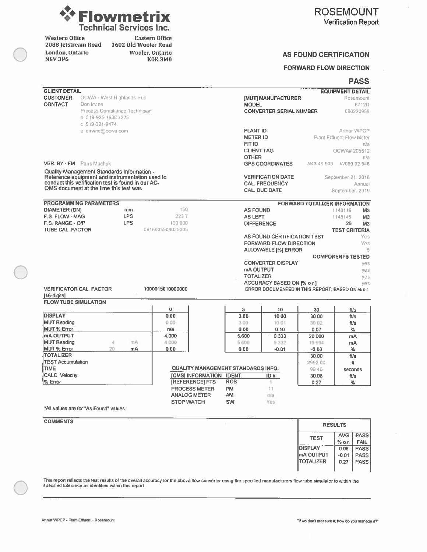

Western Office 2088 Jetstream Road London, Ontario **NSV 3P6** 

Eastern Office 1602 Old Wooler Road Wooler, Ontario **K0K3M0** 

#### **AS FOUND CERTIFICATION**

#### **FORWARD FLOW DIRECTION**

#### **PASS**

| <b>CLIENT DETAIL</b>        |                                                    |                  |                   |                          |                                    |                                                                                |                                      | <b>EQUIPMENT DETAIL</b>   |
|-----------------------------|----------------------------------------------------|------------------|-------------------|--------------------------|------------------------------------|--------------------------------------------------------------------------------|--------------------------------------|---------------------------|
| <b>CUSTOMER</b>             | OCWA - West Highlands Hub                          |                  |                   |                          |                                    | <b>JMUT MANUFACTURER</b>                                                       |                                      | <b>Rosemount</b>          |
| <b>CONTACT</b>              | Don Irvine                                         |                  |                   |                          | <b>MODEL</b>                       |                                                                                |                                      | <b>B712D</b>              |
|                             | Process Compliance Technician                      |                  |                   |                          |                                    | <b>CONVERTER SERIAL NUMBER</b>                                                 |                                      | 080220959                 |
|                             | p 519-925-1938 x225                                |                  |                   |                          |                                    |                                                                                |                                      |                           |
|                             | c 519-321-9474                                     |                  |                   |                          |                                    |                                                                                |                                      |                           |
|                             | e dirvine@ocwa.com                                 |                  |                   |                          | <b>PLANT ID</b>                    |                                                                                |                                      | Arthur WPCP               |
|                             |                                                    |                  |                   |                          | <b>METER ID</b>                    |                                                                                |                                      | Plant Effluent Flow Meter |
|                             |                                                    |                  |                   |                          | FIT ID                             |                                                                                |                                      | nfa                       |
|                             |                                                    |                  |                   |                          |                                    | <b>CLIENT TAG</b>                                                              |                                      | OCWA# 205612              |
|                             |                                                    |                  |                   |                          | <b>OTHER</b>                       |                                                                                |                                      | nfa                       |
|                             | VER. BY - FM Paris Machuk                          |                  |                   |                          |                                    | <b>GPS COORDINATES</b>                                                         | N43 49 903                           | W080 32 948               |
|                             | Quality Management Standards Information -         |                  |                   |                          |                                    |                                                                                |                                      |                           |
|                             | Reference equipment and instrumentation used to    |                  |                   |                          |                                    | <b>VERIFICATION DATE</b>                                                       |                                      | September 21, 2018        |
|                             | conduct this verification test is found in our AC- |                  |                   |                          |                                    | <b>CAL. FREQUENCY</b>                                                          |                                      | Annual                    |
|                             | QMS document at the time this test was             |                  |                   |                          |                                    | <b>CAL. DUE DATE</b>                                                           |                                      | September, 2019           |
|                             |                                                    |                  |                   |                          |                                    |                                                                                |                                      |                           |
|                             | <b>PROGRAMMING PARAMETERS</b>                      |                  |                   |                          |                                    |                                                                                | <b>FORWARD TOTALIZER INFORMATION</b> |                           |
| <b>DIAMETER (DN)</b>        |                                                    | mm<br><b>LPS</b> | 150               |                          |                                    | <b>AS FOUND</b>                                                                |                                      | 1148119<br>M <sub>3</sub> |
| F.S. FLOW - MAG             |                                                    |                  | 2237              |                          | <b>AS LEFT</b>                     |                                                                                |                                      | 1145145<br>M <sub>3</sub> |
| F.S. RANGE - O/P            |                                                    | <b>LPS</b>       | 100 000           |                          |                                    | <b>DIFFERENCE</b>                                                              |                                      | M <sub>3</sub><br>26      |
| <b>TUBE CAL. FACTOR</b>     |                                                    |                  | 0916605509025005  |                          |                                    |                                                                                |                                      | <b>TEST CRITERIA</b>      |
|                             |                                                    |                  |                   |                          |                                    | AS FOUND CERTIFICATION TEST                                                    |                                      | Yes                       |
|                             |                                                    |                  |                   |                          |                                    | <b>FORWARD FLOW DIRECTION</b>                                                  |                                      | Yes                       |
|                             |                                                    |                  |                   |                          |                                    | <b>ALLOWABLE [%] ERROR</b>                                                     |                                      | 5                         |
|                             |                                                    |                  |                   |                          |                                    |                                                                                |                                      | <b>COMPONENTS TESTED</b>  |
|                             |                                                    |                  |                   |                          |                                    | <b>CONVERTER DISPLAY</b>                                                       |                                      | yes                       |
|                             |                                                    |                  |                   |                          |                                    | mA OUTPUT<br><b>TOTALIZER</b>                                                  |                                      | yes                       |
|                             |                                                    |                  |                   |                          |                                    |                                                                                |                                      | yes                       |
|                             | <b>VERIFICATOR CAL FACTOR</b>                      |                  | 1000015010000000  |                          |                                    | ACCURACY BASED ON [% o.r.]<br>ERROR DOCUMENTED IN THIS REPORT; BASED ON % o.r. |                                      | yes                       |
| [16-digits]                 |                                                    |                  |                   |                          |                                    |                                                                                |                                      |                           |
| <b>FLOW TUBE SIMULATION</b> |                                                    |                  |                   |                          |                                    |                                                                                |                                      |                           |
|                             |                                                    |                  | $\bf{0}$          |                          | з                                  | 10                                                                             | 30                                   | fl/s                      |
| <b>DISPLAY</b>              |                                                    |                  | 0.00              |                          | 3.00                               | 10.00                                                                          | 30.00                                | ft/s                      |
| <b>MUT Reading</b>          |                                                    |                  | 0.00              |                          | 3.00                               | 1001                                                                           | 30.02                                | ft/s                      |
| <b>MUT % Error</b>          |                                                    |                  | n/a               |                          | 0.00                               | 0.10                                                                           | 0.07                                 | %                         |
| mA OUTPUT                   |                                                    |                  | 4.000             |                          | 5.600                              | 9.333                                                                          | 20.000                               | mА                        |
| <b>MUT Reading</b>          | A.                                                 | mA               | 4 000             |                          | 5 600                              | 9332                                                                           | 19 994                               | mА                        |
| <b>MUT % Error</b>          | 20                                                 | mA               | 0.00              |                          | 0.00                               | $-0.01$                                                                        | $-0.03$                              | ℅                         |
| <b>TOTALIZER</b>            |                                                    |                  |                   |                          |                                    |                                                                                | 30.00                                | fl/s                      |
| <b>TEST Accumulation</b>    |                                                    |                  |                   |                          |                                    |                                                                                | 2992 00                              | $_{\rm ft}$               |
| <b>TIME</b>                 |                                                    |                  |                   |                          | QUALITY MANAGEMENT STANDARDS INFO. |                                                                                | 99 46                                | seconds                   |
| <b>CALC</b> : Velocity      |                                                    |                  |                   | [QMS] INFORMATION IDENT. |                                    | ID#                                                                            | 30.08                                | fi/s                      |
| % Error                     |                                                    |                  |                   | <b>IREFERENCE FTS</b>    | <b>ROS</b>                         | 1                                                                              | 0.27                                 | %                         |
|                             |                                                    |                  |                   | <b>PROCESS METER</b>     | PM                                 | 11                                                                             |                                      |                           |
|                             |                                                    |                  |                   | <b>ANALOG METER</b>      | AM                                 | n/a                                                                            |                                      |                           |
|                             |                                                    |                  | <b>STOP WATCH</b> |                          | SW                                 | Yes                                                                            |                                      |                           |
|                             | "All values are for "As Found" values.             |                  |                   |                          |                                    |                                                                                |                                      |                           |
|                             |                                                    |                  |                   |                          |                                    |                                                                                |                                      |                           |
| <b>COMMENTS</b>             |                                                    |                  |                   |                          |                                    |                                                                                |                                      | <b>RESULTS</b>            |
|                             |                                                    |                  |                   |                          |                                    |                                                                                |                                      |                           |

| <b>RESULTS</b>   |            |             |  |
|------------------|------------|-------------|--|
| <b>TEST</b>      | <b>AVG</b> | <b>PASS</b> |  |
|                  | % о.г.     | <b>FAIL</b> |  |
| DISPLAY          | 0.06       | <b>PASS</b> |  |
| <b>mA OUTPUT</b> | $-0.01$    | <b>PASS</b> |  |
| <b>TOTALIZER</b> | 0.27       | <b>PASS</b> |  |
|                  |            |             |  |

This report reflects the test results of the overall accuracy for the above flow converter using the specified manufacturers flow tube simulator to within the specified tolerance as identified within this report.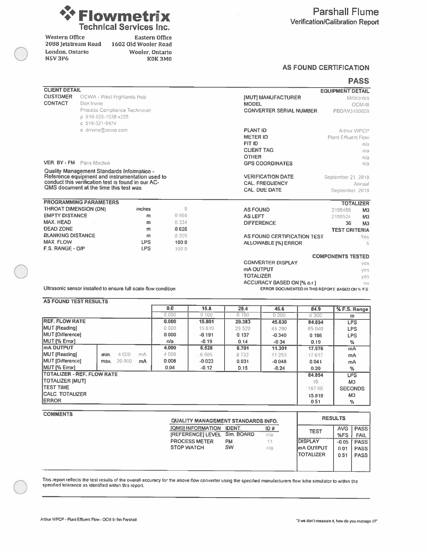

Western Office 2088 Jetstream Road 1602 Old Wooler Road London, Ontario **N5V 3P6** 

**Eastern Office** Wooler, Ontario K0K3M0

#### **AS FOUND CERTIFICATION**

|                              |                                                                                                       |            |         |                                                  | <b>PASS</b>               |
|------------------------------|-------------------------------------------------------------------------------------------------------|------------|---------|--------------------------------------------------|---------------------------|
| <b>CLIENT DETAIL</b>         |                                                                                                       |            |         |                                                  | <b>EQUIPMENT DETAIL</b>   |
| <b>CUSTOMER</b>              | OCWA - West Highlands Hub                                                                             |            |         | <b>IMUTI MANUFACTURER</b>                        | Milltronics               |
| <b>CONTACT</b>               | Don Irvine                                                                                            |            |         | <b>MODEL</b>                                     | OCM-III                   |
|                              | Process Compliance Technician                                                                         |            |         | <b>CONVERTER SERIAL NUMBER</b>                   | PBDAV3100009              |
|                              | p 519-925-1938 x225                                                                                   |            |         |                                                  |                           |
|                              | c. 519-321-9474                                                                                       |            |         |                                                  |                           |
|                              | e dirvine@ocwa com                                                                                    |            |         | <b>PLANT ID</b>                                  | Arthur WPCP               |
|                              |                                                                                                       |            |         | <b>METER ID</b>                                  | Plant Effluent Flow       |
|                              |                                                                                                       |            |         | FIT ID                                           | пíа                       |
|                              |                                                                                                       |            |         | <b>CLIENT TAG</b>                                | nfa                       |
|                              |                                                                                                       |            |         | <b>OTHER</b>                                     | nla                       |
| VER. BY - FM Paris Machuk    |                                                                                                       |            |         | <b>GPS COORDINATES</b>                           | nfa                       |
|                              | Quality Management Standards Information -                                                            |            |         |                                                  |                           |
|                              | Reference equipment and instrumentation used to<br>conduct this verification test is found in our AC- |            |         | <b>VERIFICATION DATE</b>                         | September 21.<br>2018     |
|                              |                                                                                                       |            |         | <b>CAL. FREQUENCY</b>                            | Annual                    |
|                              | QMS document at the time this test was                                                                |            |         | <b>CAL. DUE DATE</b>                             | September 2019            |
|                              | <b>PROGRAMMING PARAMETERS</b>                                                                         |            |         |                                                  | <b>TOTALIZER</b>          |
| <b>THROAT DIMENSION (DN)</b> |                                                                                                       | inches     | 9       | <b>AS FOUND</b>                                  | 2198488<br>M <sub>3</sub> |
| <b>EMPTY DISTANCE</b>        |                                                                                                       | m          | 0 9 6 0 | <b>AS LEFT</b>                                   | M <sub>3</sub><br>2198524 |
| <b>MAX, HEAD</b>             |                                                                                                       | m          | 0 3 3 4 | <b>DIFFERENCE</b>                                | 36<br>M <sub>3</sub>      |
| <b>DEAD ZONE</b>             |                                                                                                       | m          | 0.626   |                                                  | <b>TEST CRITERIA</b>      |
| <b>BLANKING DISTANCE</b>     |                                                                                                       | m          | 0305    | AS FOUND CERTIFICATION TEST                      | Yes                       |
| <b>MAX. FLOW</b>             |                                                                                                       | <b>LPS</b> | 1000    | <b>ALLOWABLE [%] ERROR</b>                       | 5                         |
| F.S. RANGE - O/P             |                                                                                                       | <b>LPS</b> | 100.0   |                                                  |                           |
|                              |                                                                                                       |            |         |                                                  | <b>COMPONENTS TESTED</b>  |
|                              |                                                                                                       |            |         | <b>CONVERTER DISPLAY</b>                         | ves                       |
|                              |                                                                                                       |            |         | mA OUTPUT                                        | ves                       |
|                              |                                                                                                       |            |         | <b>TOTALIZER</b>                                 | yes                       |
|                              |                                                                                                       |            |         | <b>ACCURACY BASED ON [% o.r.]</b>                | BO                        |
|                              | Ultrasonic sensor installed to ensure full scale flow condition                                       |            |         | ERROR DOCUMENTED IN THIS REPORT, BASED ON % F.S. |                           |

AS FOUND TEST RESULTS

|                                   |                |    | 0.0     | 15.8     | 29.4    | 45.6     | 84.9   | % F.S. Range   |
|-----------------------------------|----------------|----|---------|----------|---------|----------|--------|----------------|
|                                   |                |    | 0.000   | 0,100    | 0.150   | 0200     | 0 300  | m              |
| <b>REF. FLOW RATE</b>             |                |    | 0.000   | 15.801   | 29,383  | 45.630   | 84.854 | <b>LPS</b>     |
| MUT [Reading]                     |                |    | 0.000   | 15 6 10  | 29 5 20 | 45 290   | 85 040 | <b>LPS</b>     |
| MUT [Difference]                  |                |    | 0.000   | $-0.191$ | 0.137   | $-0.340$ | 0.186  | <b>LPS</b>     |
| MUT <sub>I</sub> % Error1         |                |    | n/a     | $-0.19$  | 0.14    | $-0.34$  | 0.19   | $\%$           |
| <b>ImA OUTPUT</b>                 |                |    | 4.000   | 6.528    | 8.701   | 11.301   | 17.576 | mA             |
| MUT [Reading]                     | 4 000<br>min.  | mA | 4 0 0 8 | 6 505    | 8 7 3 2 | 11:253   | 17617  | mA             |
| MUT [Difference]                  | 20 000<br>max. | mA | 0.008   | $-0.023$ | 0.031   | $-0.048$ | 0.041  | mA             |
| MUT [% Error]                     |                |    | 0,04    | $-0.12$  | 0.15    | $-0.24$  | 0.20   | %              |
| <b>TOTALIZER - REF. FLOW RATE</b> |                |    |         |          |         |          | 84.854 | <b>LPS</b>     |
| <b>TOTALIZER IMUTI</b>            |                |    |         |          |         |          | 16     | M <sub>3</sub> |
| <b>ITEST TIME</b>                 |                |    |         |          |         |          | 187.60 | <b>SECONDS</b> |
| <b>ICALC TOTALIZER</b>            |                |    |         |          |         |          | 15.919 | M <sub>3</sub> |
| <b>ERROR</b>                      |                |    |         |          |         |          | 0.51   | $\%$           |

**COMMENTS** 

| QUALITY MANAGEMENT STANDARDS INFO. |            |     |                  | <b>RESULTS</b> |             |  |
|------------------------------------|------------|-----|------------------|----------------|-------------|--|
| <b>[QMS] INFORMATION</b>           | IDENT.     | ID# | <b>TEST</b>      | AVG.           | PASS        |  |
| <b>[REFERENCE] LEVEL</b>           | Sim. BOARD | nia |                  | %FS            | FAIL        |  |
| <b>PROCESS METER</b>               | <b>PM</b>  |     | <b>IDISPLAY</b>  | $-0.05$        | <b>PASS</b> |  |
| <b>STOP WATCH</b>                  | <b>SW</b>  | nia | ImA OUTPUT       | 0.01           | <b>PASS</b> |  |
|                                    |            |     | <b>TOTALIZER</b> | 0.51           | <b>PASS</b> |  |
|                                    |            |     |                  |                |             |  |
|                                    |            |     |                  |                |             |  |

This report reflects the test results of the overall accuracy for the above flow converter using the specified manufacturers flow tube simulator to within the specified tolerance as identified within this report.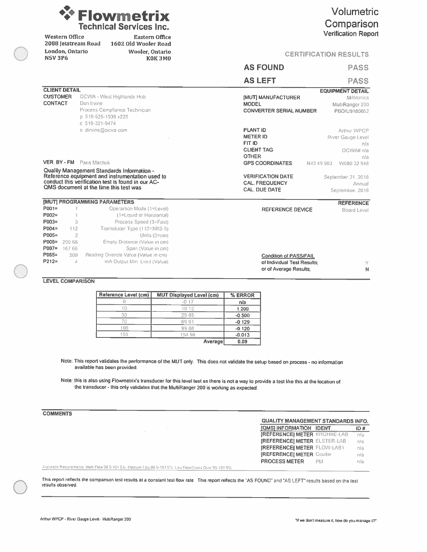| <b>WEIowmetrix</b>             |
|--------------------------------|
| <b>Technical Services Inc.</b> |

**Eastern Office** 

Wooler, Ontario

1602 Old Wooler Road

#### Volumetric Comparison **Verification Report**

**CERTIFICATION RESULTS** 

| <b>NSV 3P6</b><br><b>K0K3M0</b>    |                                                                                              | <b>GERTIFIGATION RESULTS</b>                                 |                   |  |  |  |
|------------------------------------|----------------------------------------------------------------------------------------------|--------------------------------------------------------------|-------------------|--|--|--|
|                                    |                                                                                              | <b>AS FOUND</b>                                              | <b>PASS</b>       |  |  |  |
|                                    |                                                                                              | <b>AS LEFT</b>                                               | <b>PASS</b>       |  |  |  |
| <b>CLIENT DETAIL</b>               |                                                                                              | <b>EQUIPMENT DETAIL</b>                                      |                   |  |  |  |
| <b>CUSTOMER</b>                    | OCWA - West Highlands Hub                                                                    | [MUT] MANUFACTURER                                           | Milltronics       |  |  |  |
| <b>CONTACT</b>                     | Don Irvine                                                                                   | <b>MODEL</b>                                                 | MultiRanger 200   |  |  |  |
|                                    | Process Compliance Technician                                                                | <b>CONVERTER SERIAL NUMBER</b>                               | PBD/U9180052      |  |  |  |
|                                    | p 519-925-1938 x225<br>c 519-321-9474                                                        |                                                              |                   |  |  |  |
|                                    | e dirvine@ocwa.com                                                                           | <b>PLANT ID</b>                                              | Arthur WPCP       |  |  |  |
|                                    |                                                                                              | <b>METER ID</b>                                              | River Gauge Level |  |  |  |
|                                    |                                                                                              | FIT ID                                                       | n/a               |  |  |  |
|                                    |                                                                                              | <b>CLIENT TAG</b>                                            | OCWA# n/a         |  |  |  |
|                                    |                                                                                              | <b>OTHER</b>                                                 | nfa               |  |  |  |
|                                    | VER. BY - FM Paris Machuk                                                                    | <b>GPS COORDINATES</b><br>N43 49 903                         | W080 32 948       |  |  |  |
|                                    | Quality Management Standards Information -                                                   |                                                              |                   |  |  |  |
|                                    | Reference equipment and instrumentation used to                                              | <b>VERIFICATION DATE</b><br>September 21, 2018               |                   |  |  |  |
|                                    | conduct this verification test is found in our AC-<br>QMS document at the time this test was | <b>CAL. FREQUENCY</b>                                        | Annual            |  |  |  |
|                                    |                                                                                              | <b>CAL. DUE DATE</b>                                         | September, 2019   |  |  |  |
|                                    | [MUT] PROGRAMMING PARAMETERS                                                                 |                                                              | <b>REFERENCE</b>  |  |  |  |
| $POO1 =$                           | Operartion Mode (1=Level)                                                                    | <b>REFERENCE DEVICE</b>                                      | Board Level       |  |  |  |
| P002=                              | (1=Liquid or Horizontal)                                                                     |                                                              |                   |  |  |  |
| P003=                              | Process Speed (3=Fast)<br>3                                                                  |                                                              |                   |  |  |  |
| $P004 =$                           | Transducer Type (112=XRS-5)<br>112                                                           |                                                              |                   |  |  |  |
| P005=                              | $\overline{2}$<br>Units (2=cm)                                                               |                                                              |                   |  |  |  |
| P006=<br>200 66<br>P007=<br>167 66 | Empty Distance (Value in cm)<br>Span (Value in cm)                                           |                                                              |                   |  |  |  |
| P065=                              | Reading Ovende Value (Value in cm)<br>500                                                    |                                                              |                   |  |  |  |
| $P212 =$                           | mA Output Min Limit (Value)<br>$\mathcal{A}$                                                 | <b>Condition of PASS/FAIL</b><br>of Individual Test Results: | Y                 |  |  |  |
|                                    |                                                                                              | or of Average Results:                                       | N                 |  |  |  |
|                                    |                                                                                              |                                                              |                   |  |  |  |

**LEVEL COMPARISON** 

**Western Office** 

London, Ontario

2088 Jetstream Road

| Reference Level (cm) | <b>MUT Displayed Level (cm)</b> | % ERROR  |
|----------------------|---------------------------------|----------|
|                      | $-0.17$                         | n/a      |
|                      | 10.12                           | 1.200    |
| 30                   | 2985                            | $-0.500$ |
|                      | 6991                            | $-0.129$ |
| 100                  | 9988                            | $-0.120$ |
| 155                  | 154 98                          | $-0.013$ |
|                      | Average                         | 0.09     |

Note: This report validates the performance of the MUT only. This does not validate the setup based on process - no information available has been provided.

Note: this is also using Flowmetrix's transducer for this level test as there is not a way to provide a test like this at the location of the transducer - this only validates that the MultiRanger 200 is working as expected

|                                                                                                      | <b>QUALITY MANAGEMENT STANDARDS INFO.</b> |      |
|------------------------------------------------------------------------------------------------------|-------------------------------------------|------|
|                                                                                                      | <b>[QMSI INFORMATION IDENT.</b>           | ID#  |
|                                                                                                      | <b>IREFERENCE) METER KROHNE-LAB</b>       | -n/a |
|                                                                                                      | <b>IREFERENCEI METER ELSTER-LAB</b>       | nta  |
|                                                                                                      | <b>IREFERENCE METER FLOW-LAB1</b>         | nía  |
|                                                                                                      | <b>IREFERENCEI METER Coulter</b>          | nia  |
|                                                                                                      | <b>PROCESS METER</b><br><b>PM</b>         | nia  |
| Accuracy Requirements, High Flow 98 5-101 5%. Medium Fow 98 5-101 5%. Low Flow/Cross Over 95-101 5%. |                                           |      |

This report reflects the comparison test results at a constant test flow rate. This report reflects the "AS FOUND" and "AS LEFT" results based on the test results observed.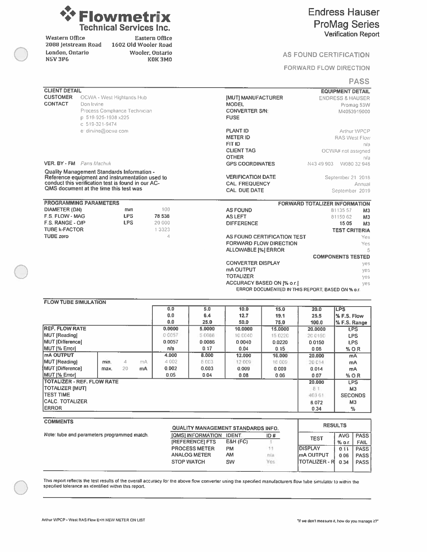

Western Office 2088 Jetstream Road London, Ontario **N5V3P6** 

Eastern Office 1602 Old Wooler Road Wooler, Ontario KOK3MO

#### **Endress Hauser ProMag Series Verification Report**

#### AS FOUND CERTIFICATION

#### **FORWARD FLOW DIRECTION**

#### **PASS**

| <b>CLIENT DETAIL</b>        |                                                                                              |            |    |           |        |                               |                                                  |                         | <b>EQUIPMENT DETAIL</b>              |  |  |  |
|-----------------------------|----------------------------------------------------------------------------------------------|------------|----|-----------|--------|-------------------------------|--------------------------------------------------|-------------------------|--------------------------------------|--|--|--|
| <b>CUSTOMER</b>             | OCWA - West Highlands Hub                                                                    |            |    |           |        | <b>IMUTI MANUFACTURER</b>     |                                                  |                         | <b>ENDRESS &amp; HAUSER</b>          |  |  |  |
| <b>CONTACT</b>              | Don Irvine                                                                                   |            |    |           |        | <b>MODEL</b>                  |                                                  | Promag 53W              |                                      |  |  |  |
|                             | Process Compliance Technician                                                                |            |    |           |        | <b>CONVERTER S/N:</b>         |                                                  |                         | M4053919000                          |  |  |  |
|                             | p 519-925-1938 x225                                                                          |            |    |           |        | <b>FUSE</b>                   |                                                  |                         |                                      |  |  |  |
|                             | c. 519-321-9474                                                                              |            |    |           |        |                               |                                                  |                         |                                      |  |  |  |
|                             | e: dirvine@ocwa.com                                                                          |            |    |           |        | <b>PLANT ID</b>               |                                                  |                         | Arthur WPCP                          |  |  |  |
|                             |                                                                                              |            |    |           |        | <b>METER ID</b>               |                                                  |                         | <b>RAS West Flow</b>                 |  |  |  |
|                             |                                                                                              |            |    |           |        | FIT ID                        |                                                  |                         | nta                                  |  |  |  |
|                             |                                                                                              |            |    |           |        | <b>CLIENT TAG</b>             |                                                  |                         | OCWA# not assigned                   |  |  |  |
|                             |                                                                                              |            |    |           |        | <b>OTHER</b>                  |                                                  |                         | n/a                                  |  |  |  |
|                             | <b>VER. BY - FM</b> Pans Machuk                                                              |            |    |           |        | <b>GPS COORDINATES</b>        |                                                  | N43 49 903              | W080 32 948                          |  |  |  |
|                             | Quality Management Standards Information -                                                   |            |    |           |        |                               |                                                  |                         |                                      |  |  |  |
|                             | Reference equipment and instrumentation used to                                              |            |    |           |        | <b>VERIFICATION DATE</b>      |                                                  |                         | September 21, 2018                   |  |  |  |
|                             | conduct this verification test is found in our AC-<br>QMS document at the time this test was |            |    |           |        | <b>CAL. FREQUENCY</b>         |                                                  |                         | Annual                               |  |  |  |
|                             |                                                                                              |            |    |           |        | <b>CAL. DUE DATE</b>          |                                                  |                         | September 2019                       |  |  |  |
|                             | <b>PROGRAMMING PARAMETERS</b>                                                                |            |    |           |        |                               |                                                  |                         | <b>FORWARD TOTALIZER INFORMATION</b> |  |  |  |
| DIAMETER (DN)               |                                                                                              | mm         |    | 100       |        | <b>AS FOUND</b>               |                                                  |                         | 81135 57<br>M <sub>3</sub>           |  |  |  |
| <b>F.S. FLOW - MAG</b>      |                                                                                              | <b>LPS</b> |    | 78.538    |        | <b>AS LEFT</b>                |                                                  |                         | 8115062<br>M <sub>3</sub>            |  |  |  |
| F.S. RANGE - O/P            |                                                                                              | <b>LPS</b> |    | 20 000    |        | <b>DIFFERENCE</b>             |                                                  | 15.05<br>M <sub>3</sub> |                                      |  |  |  |
| <b>TUBE k-FACTOR</b>        |                                                                                              |            |    | 1 3 3 2 3 |        | <b>TEST CRITERIA</b>          |                                                  |                         |                                      |  |  |  |
| <b>TUBE zero</b>            |                                                                                              |            |    | 4         |        | AS FOUND CERTIFICATION TEST   |                                                  |                         |                                      |  |  |  |
|                             |                                                                                              |            |    |           |        | <b>FORWARD FLOW DIRECTION</b> |                                                  |                         | Yes<br>Yes                           |  |  |  |
|                             |                                                                                              |            |    |           |        | <b>ALLOWABLE [%] ERROR</b>    |                                                  |                         | 5                                    |  |  |  |
|                             |                                                                                              |            |    |           |        |                               |                                                  |                         | <b>COMPONENTS TESTED</b>             |  |  |  |
|                             |                                                                                              |            |    |           |        | <b>CONVERTER DISPLAY</b>      |                                                  |                         | ves                                  |  |  |  |
|                             |                                                                                              |            |    |           |        | mA OUTPUT                     |                                                  |                         | yes                                  |  |  |  |
|                             |                                                                                              |            |    |           |        | <b>TOTALIZER</b>              |                                                  |                         | yes                                  |  |  |  |
|                             |                                                                                              |            |    |           |        | ACCURACY BASED ON [% o.r.]    |                                                  |                         | yes                                  |  |  |  |
|                             |                                                                                              |            |    |           |        |                               | ERROR DOCUMENTED IN THIS REPORT: BASED ON % o.r. |                         |                                      |  |  |  |
| <b>FLOW TUBE SIMULATION</b> |                                                                                              |            |    |           |        |                               |                                                  |                         |                                      |  |  |  |
|                             |                                                                                              |            |    | 0.0       | 5.0    | 10.0                          | 15.0                                             | 20.0                    | <b>LPS</b>                           |  |  |  |
|                             |                                                                                              |            |    | 0.0       | 6.4    | 12.7                          | 19.1                                             | 25.5                    | % F.S. Flow                          |  |  |  |
|                             |                                                                                              |            |    | 0.0       | 25.0   | 50.0                          | 75.0                                             | 100.0                   | % F.S. Range                         |  |  |  |
| <b>REF. FLOW RATE</b>       |                                                                                              |            |    | 0.0000    | 5.0000 | 10.0000                       | 15.0000                                          | 20,0000                 | <b>LPS</b>                           |  |  |  |
| <b>MUT [Reading]</b>        |                                                                                              |            |    | 0 0 0 5 7 | 5 0086 | 10.0040                       | 15 0220                                          | 20 0150                 | <b>LPS</b>                           |  |  |  |
| <b>MUT</b> [Difference]     |                                                                                              |            |    | 0.0057    | 0.0086 | 0.0040                        | 0.0220                                           | 0.0150                  | <b>LPS</b>                           |  |  |  |
| MUT [% Error]               |                                                                                              |            |    | n/a       | 0.17   | 0.04                          | 0.15                                             | 0.08                    | % O.R                                |  |  |  |
| <b>mA OUTPUT</b>            |                                                                                              |            |    | 4.000     | 8.000  | 12,000                        | 16.000                                           | 20.000                  | mA                                   |  |  |  |
| <b>MUT [Reading]</b>        | min.                                                                                         | 4          | mÂ | 4 002     | 8 003  | 12 009                        | 16 009                                           | 20014                   | mA                                   |  |  |  |
| <b>MUT [Difference]</b>     | max.                                                                                         | 20         | mA | 0.002     | 0.003  | 0.009                         | 0.009                                            | 0.014                   | mA                                   |  |  |  |
| MUT [% Error]               |                                                                                              |            |    | 0.05      | 0.04   | 0.08                          | 0.06                                             | 0.07                    | % O.R                                |  |  |  |
|                             | <b>TOTALIZER - REF. FLOW RATE</b>                                                            |            |    |           |        |                               |                                                  | 20.000                  | <b>LPS</b>                           |  |  |  |
| <b>TOTALIZER [MUT]</b>      |                                                                                              |            |    |           |        |                               |                                                  | 8 1                     | M <sub>3</sub>                       |  |  |  |
| <b>TEST TIME</b>            |                                                                                              |            |    |           |        |                               |                                                  | 403 61                  | <b>SECONDS</b>                       |  |  |  |
| <b>CALC. TOTALIZER</b>      |                                                                                              |            |    |           |        |                               |                                                  | 8.072                   | M <sub>3</sub>                       |  |  |  |
| <b>ERROR</b>                |                                                                                              |            |    |           |        |                               |                                                  | 0.34                    | $\%$                                 |  |  |  |
|                             |                                                                                              |            |    |           |        |                               |                                                  |                         |                                      |  |  |  |

#### **COMMENTS**

| <u>uummen a</u>                             | QUALITY MANAGEMENT STANDARDS INFO. | <b>RESULTS</b>      |             |                      |             |             |  |
|---------------------------------------------|------------------------------------|---------------------|-------------|----------------------|-------------|-------------|--|
| Note: tube and parameters programmed match. | <b>[QMS] INFORMATION</b>           | ID#                 | <b>TEST</b> | AVG.                 | <b>PASS</b> |             |  |
|                                             | <b>IREFERENCEI FTS</b>             | <b>E&amp;H (FC)</b> |             |                      | $%$ o.c.    | <b>FAIL</b> |  |
|                                             | <b>PROCESS METER</b>               | PM                  |             | <b>DISPLAY</b>       | 0.11        | <b>PASS</b> |  |
|                                             | <b>ANALOG METER</b>                | AM                  | n/a         | <b>ImA OUTPUT</b>    | 0.06        | <b>PASS</b> |  |
|                                             | <b>STOP WATCH</b>                  | SW                  | Yes         | <b>TOTALIZER - R</b> | 0.34        | <b>PASS</b> |  |
|                                             |                                    |                     |             |                      |             |             |  |

This report reflects the test results of the overall accuracy for the above flow converter using the specified manufacturers flow tube simulator to within the specified tolerance as identified within this report.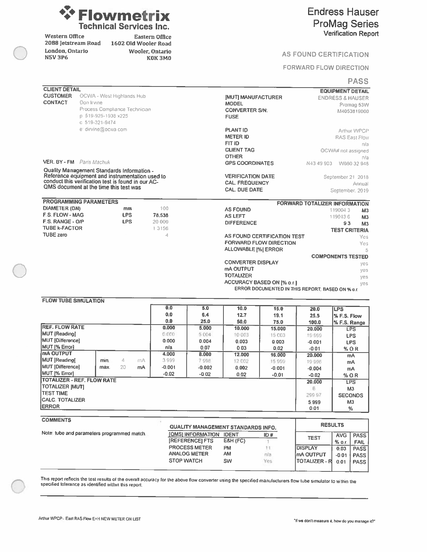

Western Office 2088 Jetstream Road London, Ontario **N5V 3P6** 

**Eastern Office** 1602 Old Wooler Road Wooler, Ontario **K0K3M0** 

#### **Endress Hauser ProMag Series Verification Report**

#### **AS FOUND CERTIFICATION**

#### FORWARD FLOW DIRECTION

#### **PASS**

| <b>CLIENT DETAIL</b>        |                                                    |            |    |          |          |                                      |                                   |                                                  | <b>EQUIPMENT DETAIL</b>       |  |  |
|-----------------------------|----------------------------------------------------|------------|----|----------|----------|--------------------------------------|-----------------------------------|--------------------------------------------------|-------------------------------|--|--|
| <b>CUSTOMER</b>             | OCWA - West Highlands Hub                          |            |    |          |          | <b>IMUTI MANUFACTURER</b>            |                                   |                                                  | <b>ENDRESS &amp; HAUSER</b>   |  |  |
| <b>CONTACT</b>              | Don Irvine                                         |            |    |          |          | <b>MODEL</b>                         |                                   |                                                  | Promag 53W                    |  |  |
|                             | Process Comphance Technician                       |            |    |          |          | <b>CONVERTER S/N:</b>                |                                   |                                                  | M4053819000                   |  |  |
|                             | p 519-925-1938 x225                                |            |    |          |          | <b>FUSE</b>                          |                                   |                                                  |                               |  |  |
|                             | c 519-321-9474                                     |            |    |          |          |                                      |                                   |                                                  |                               |  |  |
|                             | e: dirvine@ocwa.com                                |            |    |          |          | <b>PLANT ID</b>                      |                                   |                                                  | Arthur WPCP                   |  |  |
|                             |                                                    |            |    |          |          | <b>METER ID</b>                      |                                   |                                                  | <b>RAS East Flow</b>          |  |  |
|                             |                                                    |            |    |          |          | FIT ID                               |                                   |                                                  | n/a                           |  |  |
|                             |                                                    |            |    |          |          | <b>CLIENT TAG</b>                    |                                   |                                                  | OCWA# not assigned            |  |  |
|                             |                                                    |            |    |          |          | <b>OTHER</b>                         |                                   |                                                  | nła                           |  |  |
|                             | <b>VER. BY - FM</b> Paris Machuk                   |            |    |          |          | <b>GPS COORDINATES</b>               |                                   | N43 49 903                                       | W080 32 948                   |  |  |
|                             | Quality Management Standards Information -         |            |    |          |          |                                      |                                   |                                                  |                               |  |  |
|                             | Reference equipment and instrumentation used to    |            |    |          |          | <b>VERIFICATION DATE</b>             |                                   |                                                  | September 21, 2018            |  |  |
|                             | conduct this verification test is found in our AC- |            |    |          |          | <b>CAL. FREQUENCY</b>                |                                   |                                                  | Annual                        |  |  |
|                             | QMS document at the time this test was             |            |    |          |          | <b>CAL. DUE DATE</b>                 |                                   |                                                  | September, 2019               |  |  |
|                             |                                                    |            |    |          |          |                                      |                                   |                                                  |                               |  |  |
|                             | <b>PROGRAMMING PARAMETERS</b>                      |            |    |          |          |                                      |                                   | <b>FORWARD TOTALIZER INFORMATION</b>             |                               |  |  |
| <b>DIAMETER (DN)</b>        |                                                    | mm         |    | 100      |          | <b>AS FOUND</b>                      |                                   |                                                  | 1190043<br>M <sub>3</sub>     |  |  |
| F.S. FLOW - MAG             |                                                    | <b>LPS</b> |    | 78,538   |          | <b>AS LEFT</b>                       |                                   |                                                  | 119013.6<br>M <sub>3</sub>    |  |  |
| F.S. RANGE - O/P            |                                                    | <b>LPS</b> |    | 20 000   |          | <b>DIFFERENCE</b>                    |                                   |                                                  | 93<br>M <sub>3</sub>          |  |  |
| <b>TUBE K-FACTOR</b>        |                                                    |            |    | 1 3156   |          | <b>TEST CRITERIA</b>                 |                                   |                                                  |                               |  |  |
| <b>TUBE zero</b>            |                                                    |            |    | 4        |          | AS FOUND CERTIFICATION TEST<br>Yes   |                                   |                                                  |                               |  |  |
|                             |                                                    |            |    |          |          | <b>FORWARD FLOW DIRECTION</b><br>Yes |                                   |                                                  |                               |  |  |
|                             |                                                    |            |    |          |          | <b>ALLOWABLE [%] ERROR</b>           |                                   |                                                  |                               |  |  |
|                             |                                                    |            |    |          |          |                                      |                                   |                                                  | 5<br><b>COMPONENTS TESTED</b> |  |  |
|                             |                                                    |            |    |          |          | <b>CONVERTER DISPLAY</b>             |                                   |                                                  |                               |  |  |
|                             |                                                    |            |    |          |          | mA OUTPUT                            |                                   |                                                  | yes                           |  |  |
|                             |                                                    |            |    |          |          | <b>TOTALIZER</b>                     |                                   |                                                  | yes                           |  |  |
|                             |                                                    |            |    |          |          |                                      | <b>ACCURACY BASED ON [% o.r.]</b> |                                                  | yes                           |  |  |
|                             |                                                    |            |    |          |          |                                      |                                   | ERROR DOCUMENTED IN THIS REPORT. BASED ON % o.r. | yes                           |  |  |
|                             |                                                    |            |    |          |          |                                      |                                   |                                                  |                               |  |  |
| <b>FLOW TUBE SIMULATION</b> |                                                    |            |    |          |          |                                      |                                   |                                                  |                               |  |  |
|                             |                                                    |            |    | 0.0      | 5.0      | 10.0                                 | 15.0                              | 20.0                                             | <b>LPS</b>                    |  |  |
|                             |                                                    |            |    | 0.0      | 6.4      | 12.7                                 | 19.1                              | 25.5                                             | % F.S. Flow                   |  |  |
|                             |                                                    |            |    | 0.0      | 25.0     | 50.0                                 | 75.0                              | 100.0                                            | % F.S. Range                  |  |  |
| <b>REF. FLOW RATE</b>       |                                                    |            |    | 0.000    | 5.000    | 10,000                               | 15.000                            | 20,000                                           | <b>LPS</b>                    |  |  |
| <b>MUT (Reading)</b>        |                                                    |            |    | 0.000    | 5 0 0 4  | 10 003                               | 15 003                            | 19999                                            | <b>LPS</b>                    |  |  |
| <b>MUT [Difference]</b>     |                                                    |            |    | 0.000    | 0.004    | 0.003                                | 0.003                             | $-0.001$                                         | <b>LPS</b>                    |  |  |
| MUT [% Error]               |                                                    |            |    | n/a      | 0.07     | 0.03                                 | 0.02                              | $-0.01$                                          | % O.R                         |  |  |
| mA OUTPUT                   |                                                    |            |    | 4.000    | 8.000    | 12.000                               | 16.000                            | 20.000                                           | mA                            |  |  |
| <b>MUT [Reading]</b>        | min.                                               | 4          | mA | 3999     | 7998     | 12 002                               | 15 999                            | 19 996                                           | mA                            |  |  |
| <b>MUT [Difference]</b>     | max.                                               | 20         | mA | $-0.001$ | $-0.002$ | 0.002                                | $-0.001$                          | $-0.004$                                         | mA                            |  |  |
| MUT (% Error)               |                                                    |            |    | $-0.02$  | $-0.02$  | 0.02                                 | $-0.01$                           | $-0.02$                                          | % O.R                         |  |  |
|                             | <b>TOTALIZER - REF. FLOW RATE</b>                  |            |    |          |          |                                      |                                   | 20.000                                           | <b>LPS</b>                    |  |  |
| <b>TOTALIZER IMUTI</b>      |                                                    |            |    |          |          |                                      |                                   | 6                                                | M <sub>3</sub>                |  |  |
| <b>TEST TIME</b>            |                                                    |            |    |          |          |                                      |                                   | 299 97                                           | <b>SECONDS</b>                |  |  |
| <b>CALC. TOTALIZER</b>      |                                                    |            |    |          |          |                                      |                                   |                                                  | M <sub>3</sub>                |  |  |
| <b>IERROR</b>               |                                                    |            |    |          |          |                                      |                                   | 5.999<br>0.01                                    | $\frac{9}{6}$                 |  |  |
|                             |                                                    |            |    |          |          |                                      |                                   |                                                  |                               |  |  |

#### **COMMENTS**

ľ

|                                            |                        | QUALITY MANAGEMENT STANDARDS INFO. |     |                        |            |             |
|--------------------------------------------|------------------------|------------------------------------|-----|------------------------|------------|-------------|
| lote tube and parameters programmed match. | [QMS] INFORMATION      | <b>IDENT</b>                       | ID# | <b>TEST</b>            | <b>AVG</b> | <b>PASS</b> |
|                                            | <b>IREFERENCEI FTS</b> | E&H (FC)                           |     |                        | $%$ o.r    | <b>FAIL</b> |
|                                            | <b>PROCESS METER</b>   | <b>PM</b>                          |     | <b>IDISPLAY</b>        | 0.03       | <b>PASS</b> |
|                                            | <b>ANALOG METER</b>    | <b>AM</b>                          | n/a | ImA OUTPUT             | $-0.01$    | <b>PASS</b> |
|                                            | <b>STOP WATCH</b>      | <b>SW</b>                          | Yes | <b>ITOTALIZER - RI</b> | 0.01       | <b>PASS</b> |
|                                            |                        |                                    |     |                        |            |             |

This report reflects the test results of the overall accuracy for the above flow converter using the specified manufacturers flow tube simulator to within the specified tolerance as identified within this report.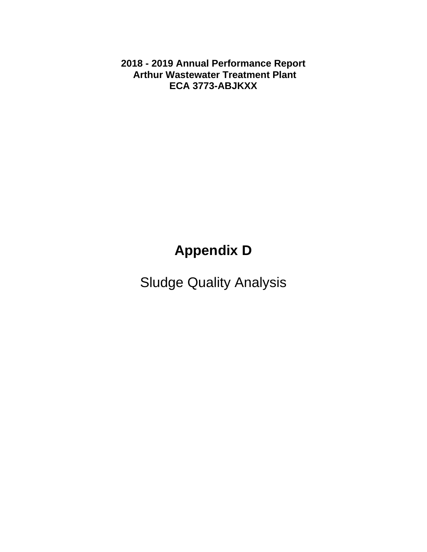**2018 - 2019 Annual Performance Report Arthur Wastewater Treatment Plant ECA 3773-ABJKXX** 

# **Appendix D**

Sludge Quality Analysis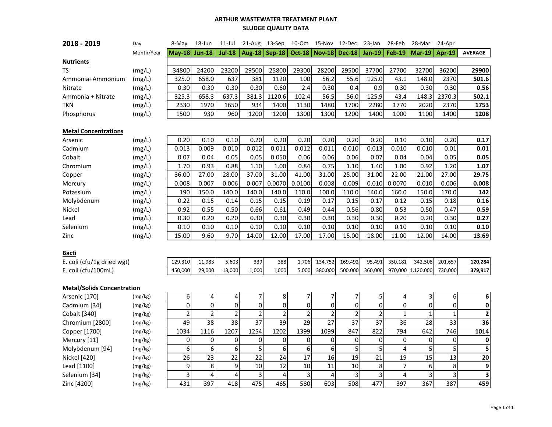#### **ARTHUR WASTEWATER TREATMENT PLANT SLUDGE QUALITY DATA**

| 2018 - 2019                       | Day        | 8-May          | 18-Jun         | $11$ -Jul      | 21-Aug           | 13-Sep          |                | 10-Oct 15-Nov 12-Dec |                | 23-Jan         | 28-Feb         | 28-Mar        | 24-Apr         |                |
|-----------------------------------|------------|----------------|----------------|----------------|------------------|-----------------|----------------|----------------------|----------------|----------------|----------------|---------------|----------------|----------------|
|                                   | Month/Year | $Mav-18$       | <b>Jun-18</b>  | <b>Jul-18</b>  |                  | Aug-18   Sep-18 |                | <b>Oct-18 Nov-18</b> | Dec-18 Jan-19  |                | <b>Feb-19</b>  | <b>Mar-19</b> | <b>Apr-19</b>  | <b>AVERAGE</b> |
| <b>Nutrients</b>                  |            |                |                |                |                  |                 |                |                      |                |                |                |               |                |                |
| <b>TS</b>                         | (mg/L)     | 34800          | 24200          | 23200          | 29500            | 25800           | 29300          | 28200                | 29500          | 37700          | 27700          | 32700         | 36200          | 29900          |
| Ammonia+Ammonium                  | (mg/L)     | 325.0          | 658.0          | 637            | 381              | 1120            | 100            | 56.2                 | 55.6           | 125.0          | 43.1           | 148.0         | 2370           | 501.6          |
| Nitrate                           | (mg/L)     | 0.30           | 0.30           | 0.30           | 0.30             | 0.60            | 2.4            | 0.30                 | 0.4            | 0.9            | 0.30           | 0.30          | 0.30           | 0.56           |
| Ammonia + Nitrate                 | (mg/L)     | 325.3          | 658.3          | 637.3          | 381.3            | 1120.6          | 102.4          | 56.5                 | 56.0           | 125.9          | 43.4           | 148.3         | 2370.3         | 502.1          |
| <b>TKN</b>                        | (mg/L)     | 2330           | 1970           | 1650           | 934              | 1400            | 1130           | 1480                 | 1700           | 2280           | 1770           | 2020          | 2370           | 1753           |
| Phosphorus                        | (mg/L)     | 1500           | 930            | 960            | 1200             | 1200            | 1300           | 1300                 | 1200           | 1400           | 1000           | 1100          | 1400           | 1208           |
|                                   |            |                |                |                |                  |                 |                |                      |                |                |                |               |                |                |
| <b>Metal Concentrations</b>       |            |                |                |                |                  |                 |                |                      |                |                |                |               |                |                |
| Arsenic                           | (mg/L)     | 0.20           | 0.10           | 0.10           | 0.20             | 0.20            | 0.20           | 0.20                 | 0.20           | 0.20           | 0.10           | 0.10          | 0.20           | 0.17           |
| Cadmium                           | (mg/L)     | 0.013          | 0.009          | 0.010          | 0.012            | 0.011           | 0.012          | 0.011                | 0.010          | 0.013          | 0.010          | 0.010         | 0.01           | 0.01           |
| Cobalt                            | (mg/L)     | 0.07           | 0.04           | 0.05           | 0.05             | 0.050           | 0.06           | 0.06                 | 0.06           | 0.07           | 0.04           | 0.04          | 0.05           | 0.05           |
| Chromium                          | (mg/L)     | 1.70           | 0.93           | 0.88           | 1.10             | 1.00            | 0.84           | 0.75                 | 1.10           | 1.40           | 1.00           | 0.92          | 1.20           | 1.07           |
| Copper                            | (mg/L)     | 36.00          | 27.00          | 28.00          | 37.00            | 31.00           | 41.00          | 31.00                | 25.00          | 31.00          | 22.00          | 21.00         | 27.00          | 29.75          |
| Mercury                           | (mg/L)     | 0.008          | 0.007          | 0.006          | 0.007            | 0.0070          | 0.0100         | 0.008                | 0.009          | 0.010          | 0.0070         | 0.010         | 0.006          | 0.008          |
| Potassium                         | (mg/L)     | 190            | 150.0          | 140.0          | 140.0            | 140.0           | 110.0          | 100.0                | 110.0          | 140.0          | 160.0          | 150.0         | 170.0          | 142            |
| Molybdenum                        | (mg/L)     | 0.22           | 0.15           | 0.14           | 0.15             | 0.15            | 0.19           | 0.17                 | 0.15           | 0.17           | 0.12           | 0.15          | 0.18           | 0.16           |
| Nickel                            | (mg/L)     | 0.92           | 0.55           | 0.50           | 0.66             | 0.61            | 0.49           | 0.44                 | 0.56           | 0.80           | 0.53           | 0.50          | 0.47           | 0.59           |
| Lead                              | (mg/L)     | 0.30           | 0.20           | 0.20           | 0.30             | 0.30            | 0.30           | 0.30                 | 0.30           | 0.30           | 0.20           | 0.20          | 0.30           | 0.27           |
| Selenium                          | (mg/L)     | 0.10           | 0.10           | 0.10           | 0.10             | 0.10            | 0.10           | 0.10                 | 0.10           | 0.10           | 0.10           | 0.10          | 0.10           | 0.10           |
| Zinc                              | (mg/L)     | 15.00          | 9.60           | 9.70           | 14.00            | 12.00           | 17.00          | 17.00                | 15.00          | 18.00          | 11.00          | 12.00         | 14.00          | 13.69          |
|                                   |            |                |                |                |                  |                 |                |                      |                |                |                |               |                |                |
| <b>Bacti</b>                      |            |                |                |                |                  |                 |                |                      |                |                |                |               |                |                |
| E. coli (cfu/1g dried wgt)        |            | 129,310        | 11,983         | 5,603          | 339              | 388             | 1,706          | 134,752              | 169,492        | 95,491         | 350,181        | 342,508       | 201,657        | 120,284        |
| E. coli (cfu/100mL)               |            | 450,000        | 29,000         | 13,000         | 1,000            | 1,000           | 5,000          | 380,000              | 500,000        | 360,000        | 970,000        | 1,120,000     | 730,000        | 379,917        |
|                                   |            |                |                |                |                  |                 |                |                      |                |                |                |               |                |                |
| <b>Metal/Solids Concentration</b> |            |                |                |                |                  |                 |                |                      |                |                |                |               |                |                |
| Arsenic [170]                     | (mg/kg)    | 6              | 4              | 4              | $\overline{7}$   | 8               | 7              | 7                    | 7              | 5              | 4              | 3             | 6              | 6              |
| Cadmium [34]                      | (mg/kg)    | $\mathbf 0$    | $\pmb{0}$      | 0              | $\boldsymbol{0}$ | $\mathbf 0$     | $\mathbf 0$    | 0                    | $\mathbf 0$    | $\mathbf 0$    | 0              | $\mathbf 0$   | $\overline{0}$ | 0              |
| Cobalt [340]                      | (mg/kg)    | $\overline{2}$ | $\overline{2}$ | $\overline{2}$ | $\overline{2}$   | $\overline{2}$  | $\overline{2}$ | $\overline{2}$       | $\overline{2}$ | $\overline{2}$ | $\overline{1}$ | $\mathbf{1}$  | $\mathbf{1}$   | $\overline{2}$ |
| Chromium [2800]                   | (mg/kg)    | 49             | 38             | 38             | 37               | 39              | 29             | 27                   | 37             | 37             | 36             | 28            | 33             | 36             |
| Copper [1700]                     | (mg/kg)    | 1034           | 1116           | 1207           | 1254             | 1202            | 1399           | 1099                 | 847            | 822            | 794            | 642           | 746            | 1014           |
| Mercury [11]                      | (mg/kg)    | $\mathbf 0$    | $\mathbf 0$    | $\mathbf 0$    | 0                | $\mathbf 0$     | 0              | 0                    | $\mathbf 0$    | $\mathbf 0$    | 0              | 0             | 0              | 0              |
| Molybdenum [94]                   | (mg/kg)    | 6              | 6              | 6              | 5                | 6               | 6              | 6                    | 5              | 5              | $\overline{4}$ | 5             | 5              |                |
| Nickel [420]                      | (mg/kg)    | 26             | 23             | 22             | 22               | 24              | 17             | 16                   | 19             | 21             | 19             | 15            | 13             | 20             |
| Lead [1100]                       | (mg/kg)    | 9              | 8              | 9              | 10               | 12              | 10             | 11                   | 10             | 8              | $\overline{7}$ | 6             | 8              | 9              |
| Selenium [34]                     | (mg/kg)    | 3              | $\overline{4}$ | 4              | $\mathsf 3$      | $\overline{4}$  | 3              | 4                    | 3              | 3              | 4              | 3             | 3              | 3              |
| Zinc [4200]                       | (mg/kg)    | 431            | 397            | 418            | 475              | 465             | 580            | 603                  | 508            | 477            | 397            | 367           | 387            | 459            |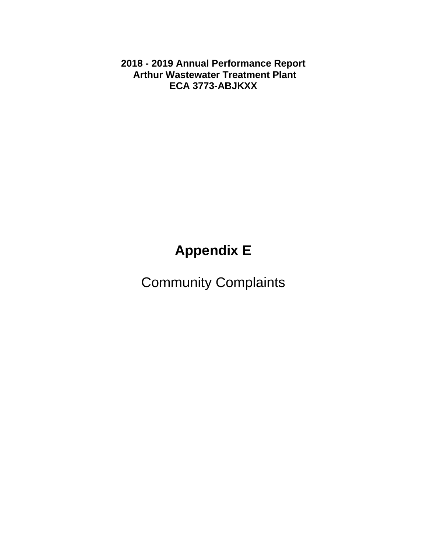**2018 - 2019 Annual Performance Report Arthur Wastewater Treatment Plant ECA 3773-ABJKXX** 

# **Appendix E**

Community Complaints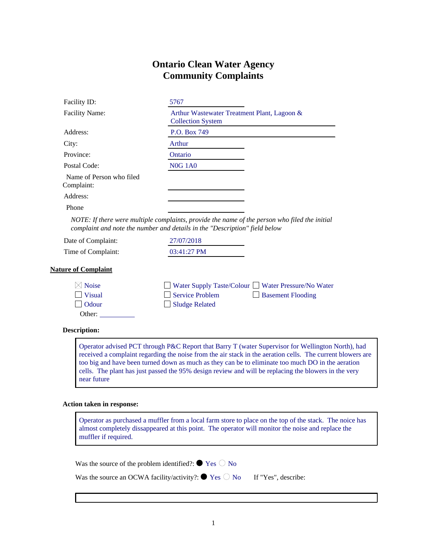#### **Ontario Clean Water Agency Community Complaints**

| Facility ID:                           | 5767                                                                    |
|----------------------------------------|-------------------------------------------------------------------------|
| <b>Facility Name:</b>                  | Arthur Wastewater Treatment Plant, Lagoon &<br><b>Collection System</b> |
| Address:                               | P.O. Box 749                                                            |
| City:                                  | Arthur                                                                  |
| Province:                              | Ontario                                                                 |
| Postal Code:                           | <b>N0G 1A0</b>                                                          |
| Name of Person who filed<br>Complaint: |                                                                         |
| Address:                               |                                                                         |
| Phone                                  |                                                                         |

*NOTE: If there were multiple complaints, provide the name of the person who filed the initial complaint and note the number and details in the "Description" field below*

Date of Complaint: 27/07/2018 Time of Complaint: 03:41:27 PM

#### **Nature of Complaint**

| $\boxtimes$ Noise     |                       | $\Box$ Water Supply Taste/Colour $\Box$ Water Pressure/No Water |
|-----------------------|-----------------------|-----------------------------------------------------------------|
| $\blacksquare$ Visual | Service Problem       | $\Box$ Basement Flooding                                        |
| $\Box$ Odour          | $\Box$ Sludge Related |                                                                 |
| Other:                |                       |                                                                 |

#### **Description:**

Operator advised PCT through P&C Report that Barry T (water Supervisor for Wellington North), had received a complaint regarding the noise from the air stack in the aeration cells. The current blowers are too big and have been turned down as much as they can be to eliminate too much DO in the aeration cells. The plant has just passed the 95% design review and will be replacing the blowers in the very near future

#### **Action taken in response:**

Operator as purchased a muffler from a local farm store to place on the top of the stack. The noice has almost completely dissappeared at this point. The operator will monitor the noise and replace the muffler if required.

Was the source of the problem identified?:  $\bullet$  Yes  $\circ$  No

Was the source an OCWA facility/activity?:  $\bullet$  Yes  $\circlearrowright$  No If "Yes", describe: